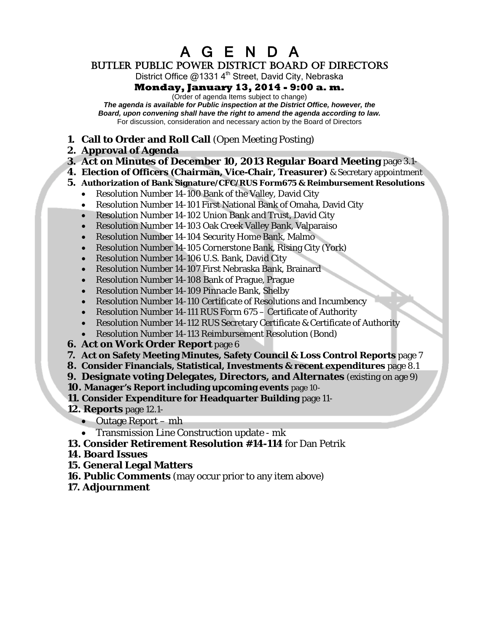A G E N D A

BUTLER PUBLIC POWER DISTRICT BOARD OF DIRECTORS

District Office  $@13314<sup>th</sup>$  Street, David City, Nebraska

# **Monday, January 13, 2014 - 9:00 a. m.**

(Order of agenda Items subject to change)

*The agenda is available for Public inspection at the District Office, however, the Board, upon convening shall have the right to amend the agenda according to law.* For discussion, consideration and necessary action by the Board of Directors

- **1. Call to Order and Roll Call** (Open Meeting Posting)
- **2. Approval of Agenda**
- **3. [Act on Minutes of December 10, 2013](#page-1-0) Regular Board Meeting** page 3.1-
- **4. Election of Officers (Chairman, Vice-Chair, Treasurer)** & Secretary appointment
- **5. Authorization of Bank Signature/CFC/RUS Form675 & Reimbursement Resolutions**
	- Resolution Number 14-100 Bank of the Valley, David City
	- Resolution Number 14-101 First National Bank of Omaha, David City
	- Resolution Number 14-102 Union Bank and Trust, David City
	- Resolution Number 14-103 Oak Creek Valley Bank, Valparaiso
	- Resolution Number 14-104 Security Home Bank, Malmo
	- Resolution Number 14-105 Cornerstone Bank, Rising City (York)
	- Resolution Number 14-106 U.S. Bank, David City
	- Resolution Number 14-107 First Nebraska Bank, Brainard
	- Resolution Number 14-108 Bank of Prague, Prague
	- Resolution Number 14-109 Pinnacle Bank, Shelby
	- Resolution Number 14-110 Certificate of Resolutions and Incumbency
	- Resolution Number 14-111 RUS Form 675 Certificate of Authority
	- Resolution Number 14-112 RUS Secretary Certificate & Certificate of Authority
	- Resolution Number 14-113 Reimbursement Resolution (Bond)
- **6. [Act on Work Order Report](#page-4-0)** page 6
- **7. [Act on Safety Meeting Minutes, Safety Council & Loss Control Reports](#page-5-0)** page 7
- **8. [Consider Financials, Statistical, Investments & recent expenditures](#page-6-0)** page 8.1
- **9. [Designate voting Delegates, Directors, and Alternates](#page-18-0)** (existing on age 9)
- **10. [Manager's Report including upcoming events](#page-19-0)** page 10-
- **11. Consider Expenditure for Headquarter Building** page 11-
- **12. Reports** page 12.1-
	- [Outage Report](#page-20-0) mh
	- Transmission Line Construction update mk
- **13. [Consider Retirement Resolution #14-114](#page-21-0)** for Dan Petrik
- **14. Board Issues**
- **15. General Legal Matters**
- **16. Public Comments** (may occur prior to any item above)
- **17. Adjournment**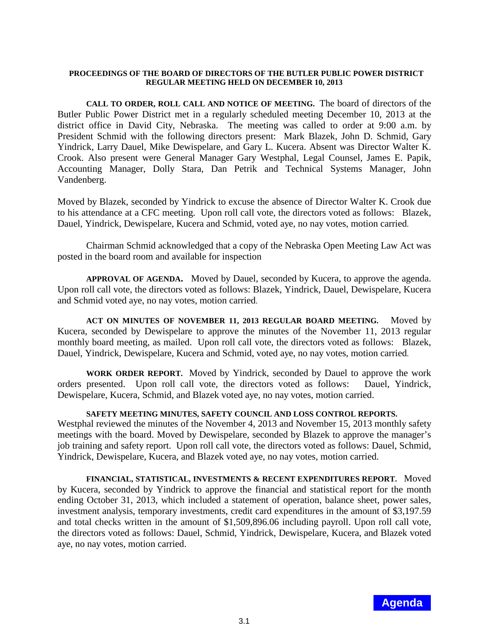### <span id="page-1-0"></span>**PROCEEDINGS OF THE BOARD OF DIRECTORS OF THE BUTLER PUBLIC POWER DISTRICT REGULAR MEETING HELD ON DECEMBER 10, 2013**

**CALL TO ORDER, ROLL CALL AND NOTICE OF MEETING.** The board of directors of the Butler Public Power District met in a regularly scheduled meeting December 10, 2013 at the district office in David City, Nebraska. The meeting was called to order at 9:00 a.m. by President Schmid with the following directors present: Mark Blazek, John D. Schmid, Gary Yindrick, Larry Dauel, Mike Dewispelare, and Gary L. Kucera. Absent was Director Walter K. Crook. Also present were General Manager Gary Westphal, Legal Counsel, James E. Papik, Accounting Manager, Dolly Stara, Dan Petrik and Technical Systems Manager, John Vandenberg.

Moved by Blazek, seconded by Yindrick to excuse the absence of Director Walter K. Crook due to his attendance at a CFC meeting. Upon roll call vote, the directors voted as follows: Blazek, Dauel, Yindrick, Dewispelare, Kucera and Schmid, voted aye, no nay votes, motion carried.

Chairman Schmid acknowledged that a copy of the Nebraska Open Meeting Law Act was posted in the board room and available for inspection

**APPROVAL OF AGENDA.** Moved by Dauel, seconded by Kucera, to approve the agenda. Upon roll call vote, the directors voted as follows: Blazek, Yindrick, Dauel, Dewispelare, Kucera and Schmid voted aye, no nay votes, motion carried.

**ACT ON MINUTES OF NOVEMBER 11, 2013 REGULAR BOARD MEETING.** Moved by Kucera, seconded by Dewispelare to approve the minutes of the November 11, 2013 regular monthly board meeting, as mailed. Upon roll call vote, the directors voted as follows: Blazek, Dauel, Yindrick, Dewispelare, Kucera and Schmid, voted aye, no nay votes, motion carried.

**WORK ORDER REPORT.** Moved by Yindrick, seconded by Dauel to approve the work orders presented. Upon roll call vote, the directors voted as follows: Dauel, Yindrick, Dewispelare, Kucera, Schmid, and Blazek voted aye, no nay votes, motion carried.

## **SAFETY MEETING MINUTES, SAFETY COUNCIL AND LOSS CONTROL REPORTS.**

Westphal reviewed the minutes of the November 4, 2013 and November 15, 2013 monthly safety meetings with the board. Moved by Dewispelare, seconded by Blazek to approve the manager's job training and safety report. Upon roll call vote, the directors voted as follows: Dauel, Schmid, Yindrick, Dewispelare, Kucera, and Blazek voted aye, no nay votes, motion carried.

**FINANCIAL, STATISTICAL, INVESTMENTS & RECENT EXPENDITURES REPORT.** Moved by Kucera, seconded by Yindrick to approve the financial and statistical report for the month ending October 31, 2013, which included a statement of operation, balance sheet, power sales, investment analysis, temporary investments, credit card expenditures in the amount of \$3,197.59 and total checks written in the amount of \$1,509,896.06 including payroll. Upon roll call vote, the directors voted as follows: Dauel, Schmid, Yindrick, Dewispelare, Kucera, and Blazek voted aye, no nay votes, motion carried.

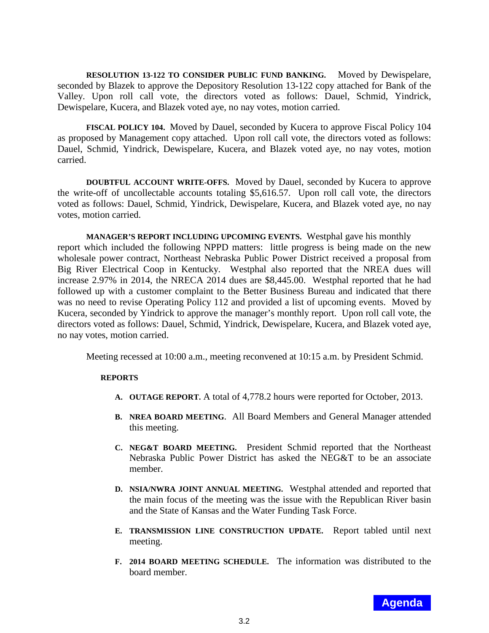**RESOLUTION 13-122 TO CONSIDER PUBLIC FUND BANKING.** Moved by Dewispelare, seconded by Blazek to approve the Depository Resolution 13-122 copy attached for Bank of the Valley. Upon roll call vote, the directors voted as follows: Dauel, Schmid, Yindrick, Dewispelare, Kucera, and Blazek voted aye, no nay votes, motion carried.

**FISCAL POLICY 104.** Moved by Dauel, seconded by Kucera to approve Fiscal Policy 104 as proposed by Management copy attached. Upon roll call vote, the directors voted as follows: Dauel, Schmid, Yindrick, Dewispelare, Kucera, and Blazek voted aye, no nay votes, motion carried.

**DOUBTFUL ACCOUNT WRITE-OFFS.** Moved by Dauel, seconded by Kucera to approve the write-off of uncollectable accounts totaling \$5,616.57. Upon roll call vote, the directors voted as follows: Dauel, Schmid, Yindrick, Dewispelare, Kucera, and Blazek voted aye, no nay votes, motion carried.

**MANAGER'S REPORT INCLUDING UPCOMING EVENTS.** Westphal gave his monthly report which included the following NPPD matters: little progress is being made on the new wholesale power contract, Northeast Nebraska Public Power District received a proposal from Big River Electrical Coop in Kentucky. Westphal also reported that the NREA dues will increase 2.97% in 2014, the NRECA 2014 dues are \$8,445.00. Westphal reported that he had followed up with a customer complaint to the Better Business Bureau and indicated that there was no need to revise Operating Policy 112 and provided a list of upcoming events. Moved by Kucera, seconded by Yindrick to approve the manager's monthly report. Upon roll call vote, the directors voted as follows: Dauel, Schmid, Yindrick, Dewispelare, Kucera, and Blazek voted aye, no nay votes, motion carried.

Meeting recessed at 10:00 a.m., meeting reconvened at 10:15 a.m. by President Schmid.

### **REPORTS**

- **A. OUTAGE REPORT.** A total of 4,778.2 hours were reported for October, 2013.
- **B. NREA BOARD MEETING**. All Board Members and General Manager attended this meeting.
- **C. NEG&T BOARD MEETING.** President Schmid reported that the Northeast Nebraska Public Power District has asked the NEG&T to be an associate member.
- **D. NSIA/NWRA JOINT ANNUAL MEETING.** Westphal attended and reported that the main focus of the meeting was the issue with the Republican River basin and the State of Kansas and the Water Funding Task Force.
- **E. TRANSMISSION LINE CONSTRUCTION UPDATE.** Report tabled until next meeting.
- **F. 2014 BOARD MEETING SCHEDULE.** The information was distributed to the board member.

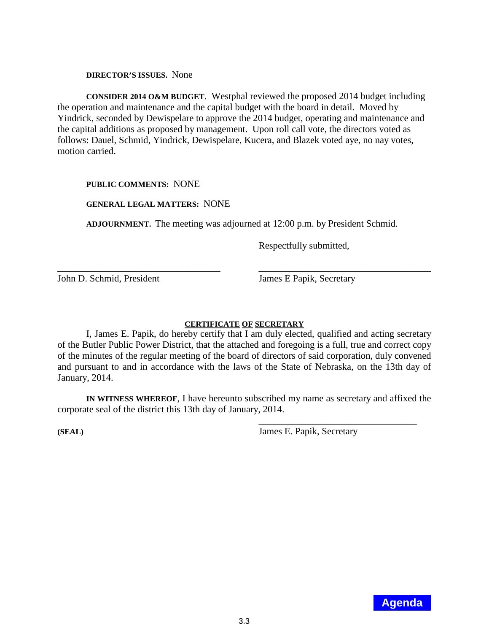**DIRECTOR'S ISSUES.** None

**CONSIDER 2014 O&M BUDGET**. Westphal reviewed the proposed 2014 budget including the operation and maintenance and the capital budget with the board in detail. Moved by Yindrick, seconded by Dewispelare to approve the 2014 budget, operating and maintenance and the capital additions as proposed by management. Upon roll call vote, the directors voted as follows: Dauel, Schmid, Yindrick, Dewispelare, Kucera, and Blazek voted aye, no nay votes, motion carried.

### **PUBLIC COMMENTS:** NONE

### **GENERAL LEGAL MATTERS:** NONE

**ADJOURNMENT.** The meeting was adjourned at 12:00 p.m. by President Schmid.

\_\_\_\_\_\_\_\_\_\_\_\_\_\_\_\_\_\_\_\_\_\_\_\_\_\_\_\_\_\_\_\_\_\_ \_\_\_\_\_\_\_\_\_\_\_\_\_\_\_\_\_\_\_\_\_\_\_\_\_\_\_\_\_\_\_\_\_\_\_\_

Respectfully submitted,

John D. Schmid, President James E Papik, Secretary

### **CERTIFICATE OF SECRETARY**

I, James E. Papik, do hereby certify that I am duly elected, qualified and acting secretary of the Butler Public Power District, that the attached and foregoing is a full, true and correct copy of the minutes of the regular meeting of the board of directors of said corporation, duly convened and pursuant to and in accordance with the laws of the State of Nebraska, on the 13th day of January, 2014.

**IN WITNESS WHEREOF**, I have hereunto subscribed my name as secretary and affixed the corporate seal of the district this 13th day of January, 2014.

**(SEAL)** James E. Papik, Secretary

\_\_\_\_\_\_\_\_\_\_\_\_\_\_\_\_\_\_\_\_\_\_\_\_\_\_\_\_\_\_\_\_\_

3.3 **Agenda**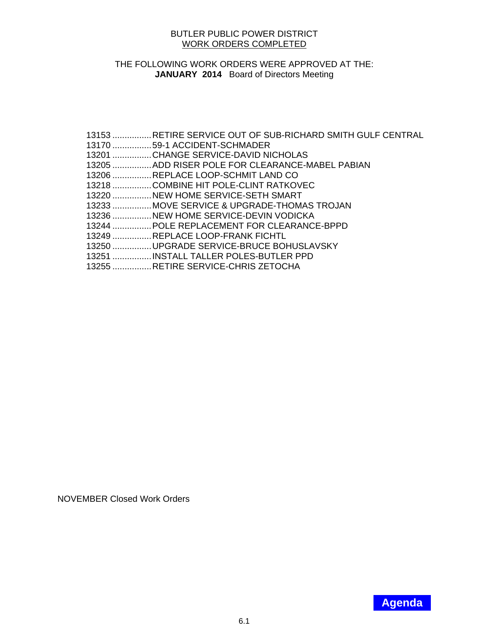### BUTLER PUBLIC POWER DISTRICT WORK ORDERS COMPLETED

# <span id="page-4-0"></span>THE FOLLOWING WORK ORDERS WERE APPROVED AT THE: **JANUARY 2014** Board of Directors Meeting

| 13153 RETIRE SERVICE OUT OF SUB-RICHARD SMITH GULF CENTRAL |
|------------------------------------------------------------|
| 13170 59-1 ACCIDENT-SCHMADER                               |
| 13201 CHANGE SERVICE-DAVID NICHOLAS                        |
| 13205 ADD RISER POLE FOR CLEARANCE-MABEL PABIAN            |
| 13206 REPLACE LOOP-SCHMIT LAND CO                          |
| 13218 COMBINE HIT POLE-CLINT RATKOVEC                      |
| 13220 NEW HOME SERVICE-SETH SMART                          |
| 13233 MOVE SERVICE & UPGRADE-THOMAS TROJAN                 |
| 13236 NEW HOME SERVICE-DEVIN VODICKA                       |
| 13244  POLE REPLACEMENT FOR CLEARANCE-BPPD                 |
| 13249  REPLACE LOOP-FRANK FICHTL                           |
| 13250 UPGRADE SERVICE-BRUCE BOHUSLAVSKY                    |
| 13251  INSTALL TALLER POLES-BUTLER PPD                     |
| 13255 RETIRE SERVICE-CHRIS ZETOCHA                         |
|                                                            |

NOVEMBER Closed Work Orders

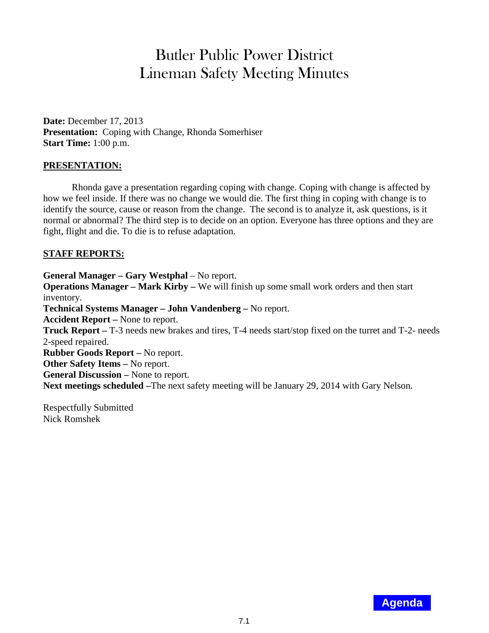# Butler Public Power District Lineman Safety Meeting Minutes

<span id="page-5-0"></span>**Date:** December 17, 2013 **Presentation:** Coping with Change, Rhonda Somerhiser **Start Time:** 1:00 p.m.

# **PRESENTATION:**

Rhonda gave a presentation regarding coping with change. Coping with change is affected by how we feel inside. If there was no change we would die. The first thing in coping with change is to identify the source, cause or reason from the change. The second is to analyze it, ask questions, is it normal or abnormal? The third step is to decide on an option. Everyone has three options and they are fight, flight and die. To die is to refuse adaptation.

# **STAFF REPORTS:**

**General Manager – Gary Westphal** – No report. **Operations Manager – Mark Kirby –** We will finish up some small work orders and then start inventory. **Technical Systems Manager – John Vandenberg –** No report. **Accident Report –** None to report. **Truck Report –** T-3 needs new brakes and tires, T-4 needs start/stop fixed on the turret and T-2- needs 2-speed repaired. **Rubber Goods Report –** No report. **Other Safety Items –** No report. **General Discussion –** None to report. **Next meetings scheduled –**The next safety meeting will be January 29, 2014 with Gary Nelson.

Respectfully Submitted Nick Romshek

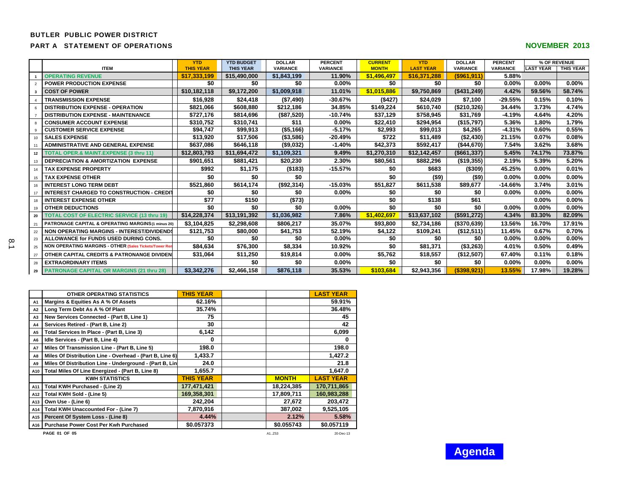#### <span id="page-6-0"></span>BUTLER PUBLIC POWER DISTRICT

#### **PART A STATEMENT OF OPERATIONS**

| <b>NOVEMBER 2013</b> |  |
|----------------------|--|
|----------------------|--|

|                |                                                        | <b>YTD</b>       | <b>YTD BUDGET</b> | <b>DOLLAR</b>   | <b>PERCENT</b>  | <b>CURRENT</b> | <b>YTD</b>       | <b>DOLLAR</b>    | <b>PERCENT</b>  |                  | % OF REVENUE |
|----------------|--------------------------------------------------------|------------------|-------------------|-----------------|-----------------|----------------|------------------|------------------|-----------------|------------------|--------------|
|                | <b>ITEM</b>                                            | <b>THIS YEAR</b> | <b>THIS YEAR</b>  | <b>VARIANCE</b> | <b>VARIANCE</b> | <b>MONTH</b>   | <b>LAST YEAR</b> | <b>VARIANCE</b>  | <b>VARIANCE</b> | <b>LAST YEAR</b> | THIS YEAR    |
|                | <b>OPERATING REVENUE</b>                               | \$17,333,199     | \$15,490,000      | \$1,843,199     | 11.90%          | \$1,496,497    | \$16,371,288     | ( \$961, 911)    | 5.88%           |                  |              |
| $\mathfrak{p}$ | <b>POWER PRODUCTION EXPENSE</b>                        | \$0              | \$0               | \$0             | $0.00\%$        | \$0            | \$0              | \$0              | 0.00%           | $0.00\%$         | $0.00\%$     |
|                | <b>COST OF POWER</b>                                   | \$10,182,118     | \$9,172,200       | \$1,009,918     | 11.01%          | \$1,015,886    | \$9,750,869      | (\$431,249)      | 4.42%           | 59.56%           | 58.74%       |
|                | <b>TRANSMISSION EXPENSE</b>                            | \$16,928         | \$24,418          | (\$7,490)       | $-30.67%$       | (\$427)        | \$24,029         | \$7,100          | $-29.55%$       | 0.15%            | 0.10%        |
|                | <b>DISTRIBUTION EXPENSE - OPERATION</b>                | \$821.066        | \$608,880         | \$212,186       | 34.85%          | \$149.224      | \$610.740        | (\$210,326)      | 34.44%          | 3.73%            | 4.74%        |
|                | <b>DISTRIBUTION EXPENSE - MAINTENANCE</b>              | \$727,176        | \$814,696         | (\$87,520)      | $-10.74%$       | \$37,129       | \$758,945        | \$31,769         | $-4.19%$        | 4.64%            | 4.20%        |
|                | <b>CONSUMER ACCOUNT EXPENSE</b>                        | \$310,752        | \$310,741         | \$11            | $0.00\%$        | \$22,410       | \$294,954        | (\$15,797)       | 5.36%           | 1.80%            | 1.79%        |
|                | <b>CUSTOMER SERVICE EXPENSE</b>                        | \$94,747         | \$99.913          | ( \$5,166)      | -5.17%          | \$2,993        | \$99.013         | \$4,265          | $-4.31%$        | 0.60%            | 0.55%        |
| 10             | <b>SALES EXPENSE</b>                                   | \$13,920         | \$17,506          | ( \$3,586)      | $-20.49%$       | \$722          | \$11,489         | (\$2,430)        | 21.15%          | 0.07%            | 0.08%        |
|                | <b>ADMINISTRATIVE AND GENERAL EXPENSE</b>              | \$637,086        | \$646,118         | (\$9,032)       | $-1.40%$        | \$42,373       | \$592,417        | ( \$44,670)      | 7.54%           | 3.62%            | 3.68%        |
|                | 12   TOTAL OPER.& MAINT.EXPENSE (3 thru 11)            | \$12,803,793     | \$11,694,472      | \$1,109,321     | 9.49%           | \$1,270,310    | \$12,142,457     | (\$661,337)      | 5.45%           | 74.17%           | 73.87%       |
| 13             | <b>I DEPRECIATION &amp; AMORTIZATION EXPENSE</b>       | \$901,651        | \$881,421         | \$20,230        | 2.30%           | \$80,561       | \$882,296        | (\$19,355)       | 2.19%           | 5.39%            | 5.20%        |
| 14             | <b>TAX EXPENSE PROPERTY</b>                            | \$992            | \$1,175           | (\$183)         | $-15.57%$       | \$0            | \$683            | (\$309)          | 45.25%          | 0.00%            | 0.01%        |
| 15             | <b>TAX EXPENSE OTHER</b>                               | \$0              | \$0               | \$0             |                 | \$0            | $($ \$9)         | $($ \$9)         | 0.00%           | $0.00\%$         | $0.00\%$     |
| 16             | I INTEREST LONG TERM DEBT                              | \$521,860        | \$614,174         | (\$92,314)      | $-15.03%$       | \$51,827       | \$611,538        | \$89,677         | $-14.66%$       | 3.74%            | 3.01%        |
| 17             | <b>INTEREST CHARGED TO CONSTRUCTION - CREDIT</b>       | \$0              | \$0               | \$0             | $0.00\%$        | \$0            | \$0              | \$0              | 0.00%           | $0.00\%$         | $0.00\%$     |
| 18             | <b>I INTEREST EXPENSE OTHER</b>                        | \$77             | \$150             | (\$73)          |                 | \$0            | \$138            | \$61             |                 | $0.00\%$         | $0.00\%$     |
| 19             | <b>OTHER DEDUCTIONS</b>                                | \$0              | \$0               | \$0             | $0.00\%$        | \$0            | \$0              | \$0              | 0.00%           | $0.00\%$         | $0.00\%$     |
| 20             | <b>TOTAL COST OF ELECTRIC SERVICE (13 thru 19)</b>     | \$14,228,374     | \$13,191,392      | \$1,036,982     | 7.86%           | \$1,402,697    | \$13,637,102     | (\$591,272)      | 4.34%           | 83.30%           | 82.09%       |
| 21             | PATRONAGE CAPITAL & OPERATING MARGINS(1 minus 20)      | \$3,104,825      | \$2,298,608       | \$806,217       | 35.07%          | \$93,800       | \$2,734,186      | (\$370,639)      | 13.56%          | 16.70%           | 17.91%       |
|                | 22 I NON OPERATING MARGINS - INTEREST/DIVIDENDS        | \$121,753        | \$80,000          | \$41,753        | 52.19%          | \$4,122        | \$109,241        | (\$12,511)       | 11.45%          | 0.67%            | 0.70%        |
| 23             | ALLOWANCE for FUNDS USED DURING CONS.                  | \$0              | \$0               | \$0             | $0.00\%$        | \$0            | \$0              | \$0              | 0.00%           | $0.00\%$         | $0.00\%$     |
| 25             | NON OPERATING MARGINS - OTHER (Sales Tickets/Tower Ren | \$84,634         | \$76,300          | \$8,334         | 10.92%          | \$0            | \$81,371         | $($ \$3,263) $ $ | 4.01%           | 0.50%            | 0.49%        |
| 27             | <b>OTHER CAPITAL CREDITS &amp; PATRONANGE DIVIDEN</b>  | \$31,064         | \$11,250          | \$19,814        | $0.00\%$        | \$5,762        | \$18,557         | (\$12,507)       | 67.40%          | 0.11%            | 0.18%        |
| 28             | <b>LEXTRAORDINARY ITEMS</b>                            |                  | \$0               | \$0             | $0.00\%$        | \$0            | \$0              | \$0              | 0.00%           | $0.00\%$         | $0.00\%$     |
|                | 29 PATRONAGE CAPITAL OR MARGINS (21 thru 28)           | \$3,342,276      | \$2,466,158       | \$876,118       | 35.53%          | \$103.684      | \$2,943,356      | (S398.921)       | 13.55%          | 17.98%           | 19.28%       |

|           | <b>OTHER OPERATING STATISTICS</b>                        | <b>THIS YEAR</b> |              | <b>LAST YEAR</b> |
|-----------|----------------------------------------------------------|------------------|--------------|------------------|
| A1        | Margins & Equities As A % Of Assets                      | 62.16%           |              | 59.91%           |
| A2        | Long Term Debt As A % Of Plant                           | 35.74%           |              | 36.48%           |
| A3        | New Services Connected - (Part B, Line 1)                | 75               |              | 45               |
| A4        | Services Retired - (Part B, Line 2)                      | 30               |              | 42               |
| A5        | Total Services In Place - (Part B, Line 3)               | 6,142            |              | 6,099            |
| A6        | Idle Services - (Part B, Line 4)                         | 0                |              | 0                |
| <b>A7</b> | Miles Of Transmission Line - (Part B, Line 5)            | 198.0            |              | 198.0            |
| A8        | Miles Of Distribution Line - Overhead - (Part B, Line 6) | 1,433.7          |              | 1.427.2          |
| A9        | Miles Of Distribution Line - Underground - (Part B, Lin  | 24.0             |              | 21.8             |
| A10       | Total Miles Of Line Energized - (Part B, Line 8)         | 1,655.7          |              | 1,647.0          |
|           | <b>KWH STATISTICS</b>                                    | <b>THIS YEAR</b> | <b>MONTH</b> | <b>LAST YEAR</b> |
| A11       | Total KWH Purchased - (Line 2)                           | 177,471,421      | 18.224.385   | 170.711.865      |
| A12       | Total KWH Sold - (Line 5)                                | 169,358,301      | 17.809.711   | 160,983,288      |
| A13       | Own Use - (Line 6)                                       | 242,204          | 27,672       | 203,472          |
| A14       | Total KWH Unaccounted For - (Line 7)                     | 7,870,916        | 387,002      | 9,525,105        |
|           | A15 Percent Of System Loss - (Line 8)                    | 4.44%            | 2.12%        | 5.58%            |
|           | A16 Purchase Power Cost Per Kwh Purchased                | \$0.057373       | \$0.055743   | \$0.057119       |
|           | PAGE 01 OF 05                                            |                  | A1Z53        | 20-Dec-13        |

 $\frac{1}{8}$ 

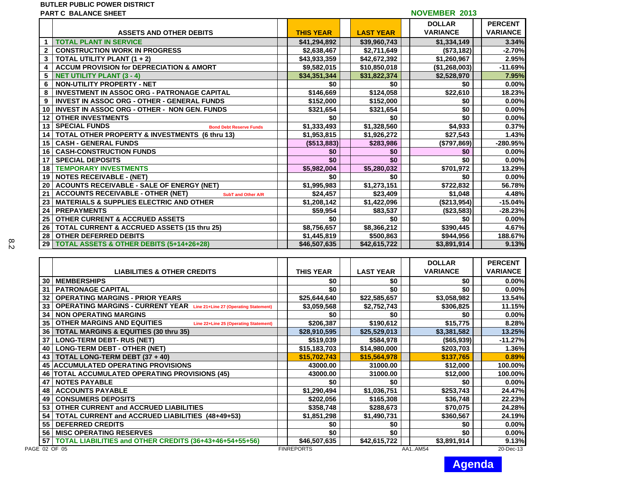#### **BUTLER PUBLIC POWER DISTRICT**

| PART C  BALANCE SHEET |  |
|-----------------------|--|
|                       |  |
|                       |  |

|                         | <b>PART C BALANCE SHEET</b>                                           | <b>NOVEMBER 2013</b> |                  |  |                  |  |                 |  |                 |
|-------------------------|-----------------------------------------------------------------------|----------------------|------------------|--|------------------|--|-----------------|--|-----------------|
|                         |                                                                       |                      |                  |  |                  |  | <b>DOLLAR</b>   |  | <b>PERCENT</b>  |
|                         | <b>ASSETS AND OTHER DEBITS</b>                                        |                      | <b>THIS YEAR</b> |  | <b>LAST YEAR</b> |  | <b>VARIANCE</b> |  | <b>VARIANCE</b> |
|                         | <b>TOTAL PLANT IN SERVICE</b>                                         |                      | \$41,294,892     |  | \$39,960,743     |  | \$1,334,149     |  | 3.34%           |
| $\mathbf{2}$            | <b>CONSTRUCTION WORK IN PROGRESS</b>                                  |                      | \$2,638,467      |  | \$2,711,649      |  | (\$73,182)      |  | $-2.70%$        |
| $3^{\circ}$             | TOTAL UTILITY PLANT (1 + 2)                                           |                      | \$43,933,359     |  | \$42,672,392     |  | \$1,260,967     |  | 2.95%           |
| $\overline{\mathbf{4}}$ | <b>ACCUM PROVISION for DEPRECIATION &amp; AMORT</b>                   |                      | \$9,582,015      |  | \$10,850,018     |  | (\$1,268,003)   |  | $-11.69%$       |
| 5 <sup>5</sup>          | <b>NET UTILITY PLANT (3 - 4)</b>                                      |                      | \$34,351,344     |  | \$31,822,374     |  | \$2,528,970     |  | 7.95%           |
| 6                       | NON-UTILITY PROPERTY - NET                                            |                      | \$0              |  | \$0              |  | \$0             |  | 0.00%           |
| 8                       | <b>INVESTMENT IN ASSOC ORG - PATRONAGE CAPITAL</b>                    |                      | \$146,669        |  | \$124,058        |  | \$22,610        |  | 18.23%          |
| 9                       | <b>INVEST IN ASSOC ORG - OTHER - GENERAL FUNDS</b>                    |                      | \$152,000        |  | \$152,000        |  | \$0             |  | 0.00%           |
| 10                      | <b>INVEST IN ASSOC ORG - OTHER - NON GEN. FUNDS</b>                   |                      | \$321,654        |  | \$321,654        |  | \$0             |  | 0.00%           |
| 12 <sup>12</sup>        | <b>OTHER INVESTMENTS</b>                                              |                      | \$0              |  | \$0              |  | \$0             |  | 0.00%           |
| 13                      | <b>SPECIAL FUNDS</b><br><b>Bond Debt Reserve Funds</b>                |                      | \$1,333,493      |  | \$1,328,560      |  | \$4,933         |  | 0.37%           |
| 14                      | TOTAL OTHER PROPERTY & INVESTMENTS (6 thru 13)                        |                      | \$1,953,815      |  | \$1,926,272      |  | \$27,543        |  | 1.43%           |
| 15                      | <b>CASH - GENERAL FUNDS</b>                                           |                      | (\$513,883)      |  | \$283,986        |  | (\$797,869)     |  | -280.95%        |
| 16                      | <b>CASH-CONSTRUCTION FUNDS</b>                                        |                      | \$0              |  | \$0              |  | \$0             |  | 0.00%           |
| 17                      | <b>SPECIAL DEPOSITS</b>                                               |                      | \$0              |  | \$0              |  | \$0             |  | 0.00%           |
| 18                      | <b>TEMPORARY INVESTMENTS</b>                                          |                      | \$5,982,004      |  | \$5,280,032      |  | \$701,972       |  | 13.29%          |
|                         | 19 NOTES RECEIVABLE - (NET)                                           |                      | \$0              |  | \$0              |  | \$0             |  | 0.00%           |
| 20                      | <b>ACOUNTS RECEIVABLE - SALE OF ENERGY (NET)</b>                      |                      | \$1,995,983      |  | \$1,273,151      |  | \$722,832       |  | 56.78%          |
| 21                      | <b>ACCOUNTS RECEIVABLE - OTHER (NET)</b><br><b>SubT and Other A/R</b> |                      | \$24,457         |  | \$23,409         |  | \$1,048         |  | 4.48%           |
| 23                      | <b>MATERIALS &amp; SUPPLIES ELECTRIC AND OTHER</b>                    |                      | \$1,208,142      |  | \$1,422,096      |  | (\$213,954)     |  | $-15.04%$       |
| 24                      | <b>PREPAYMENTS</b>                                                    |                      | \$59,954         |  | \$83,537         |  | (\$23,583)      |  | $-28.23%$       |
| 25                      | <b>OTHER CURRENT &amp; ACCRUED ASSETS</b>                             |                      | \$0              |  | \$0              |  | \$0             |  | 0.00%           |
| 26                      | <b>TOTAL CURRENT &amp; ACCRUED ASSETS (15 thru 25)</b>                |                      | \$8,756,657      |  | \$8,366,212      |  | \$390,445       |  | 4.67%           |
| 28                      | <b>OTHER DEFERRED DEBITS</b>                                          |                      | \$1,445,819      |  | \$500,863        |  | \$944,956       |  | 188.67%         |
| 29                      | <b>TOTAL ASSETS &amp; OTHER DEBITS (5+14+26+28)</b>                   |                      | \$46,507,635     |  | \$42,615,722     |  | \$3,891,914     |  | 9.13%           |

|    |                                                                               |                   |                  | <b>DOLLAR</b>   | <b>PERCENT</b>  |
|----|-------------------------------------------------------------------------------|-------------------|------------------|-----------------|-----------------|
|    | <b>LIABILITIES &amp; OTHER CREDITS</b>                                        | <b>THIS YEAR</b>  | <b>LAST YEAR</b> | <b>VARIANCE</b> | <b>VARIANCE</b> |
| 30 | <b>MEMBERSHIPS</b>                                                            | \$0               | \$0              | \$0             | $0.00\%$        |
| 31 | <b>PATRONAGE CAPITAL</b>                                                      | \$0               | \$0              | \$0             | 0.00%           |
| 32 | <b>OPERATING MARGINS - PRIOR YEARS</b>                                        | \$25,644,640      | \$22,585,657     | \$3,058,982     | 13.54%          |
| 33 | <b>OPERATING MARGINS - CURRENT YEAR</b> Line 21+Line 27 (Operating Statement) | \$3,059,568       | \$2,752,743      | \$306,825       | 11.15%          |
| 34 | <b>NON OPERATING MARGINS</b>                                                  | \$0               | \$0              | \$0             | $0.00\%$        |
| 35 | <b>OTHER MARGINS AND EQUITIES</b><br>Line 22+Line 25 (Operating Statement)    | \$206,387         | \$190,612        | \$15,775        | 8.28%           |
| 36 | <b>TOTAL MARGINS &amp; EQUITIES (30 thru 35)</b>                              | \$28,910,595      | \$25,529,013     | \$3,381,582     | 13.25%          |
| 37 | <b>LONG-TERM DEBT- RUS (NET)</b>                                              | \$519,039         | \$584,978        | (\$65,939)      | $-11.27%$       |
| 40 | <b>LONG-TERM DEBT - OTHER (NET)</b>                                           | \$15,183,703      | \$14,980,000     | \$203,703       | 1.36%           |
| 43 | TOTAL LONG-TERM DEBT (37 + 40)                                                | \$15,702,743      | \$15,564,978     | \$137.765       | 0.89%           |
| 45 | <b>ACCUMULATED OPERATING PROVISIONS</b>                                       | 43000.00          | 31000.00         | \$12,000        | 100.00%         |
|    | 46   TOTAL ACCUMULATED OPERATING PROVISIONS (45)                              | 43000.00          | 31000.00         | \$12,000        | 100.00%         |
| 47 | <b>NOTES PAYABLE</b>                                                          | \$0               | \$0              | \$0             | $0.00\%$        |
| 48 | <b>ACCOUNTS PAYABLE</b>                                                       | \$1,290,494       | \$1,036,751      | \$253,743       | 24.47%          |
| 49 | <b>CONSUMERS DEPOSITS</b>                                                     | \$202,056         | \$165,308        | \$36,748        | 22.23%          |
| 53 | <b>OTHER CURRENT and ACCRUED LIABILITIES</b>                                  | \$358,748         | \$288,673        | \$70,075        | 24.28%          |
| 54 | TOTAL CURRENT and ACCRUED LIABILITIES (48+49+53)                              | \$1,851,298       | \$1,490,731      | \$360,567       | 24.19%          |
| 55 | <b>DEFERRED CREDITS</b>                                                       | \$0               | \$0              | \$0             | 0.00%           |
| 56 | <b>MISC OPERATING RESERVES</b>                                                | \$0               | \$0              | \$0             | 0.00%           |
| 57 | TOTAL LIABILITIES and OTHER CREDITS (36+43+46+54+55+56)                       | \$46,507,635      | \$42,615,722     | \$3,891,914     | 9.13%           |
|    | GE 02 OF 05                                                                   | <b>FINREPORTS</b> |                  | AA1AM54         | 20-Dec-13       |

8.2

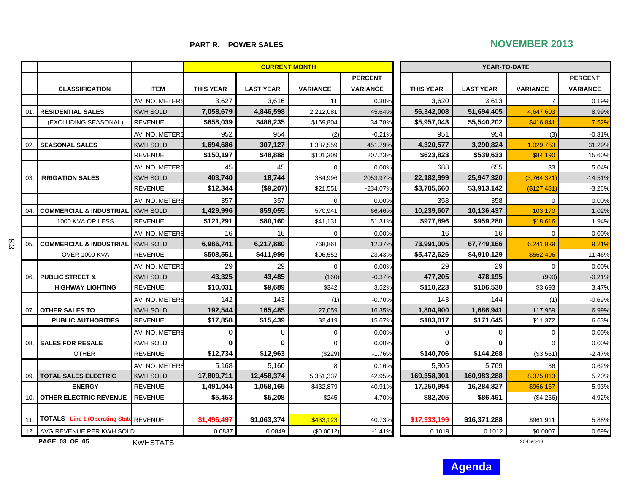# **PART R. POWER SALES** NOVEMBER 2013

|        |                                        |                 |                  | <b>CURRENT MONTH</b> |                 |                 | YEAR-TO-DATE     |                  |                 |                 |
|--------|----------------------------------------|-----------------|------------------|----------------------|-----------------|-----------------|------------------|------------------|-----------------|-----------------|
|        |                                        |                 |                  |                      |                 | <b>PERCENT</b>  |                  |                  |                 | <b>PERCENT</b>  |
|        | <b>CLASSIFICATION</b>                  | <b>ITEM</b>     | <b>THIS YEAR</b> | <b>LAST YEAR</b>     | <b>VARIANCE</b> | <b>VARIANCE</b> | <b>THIS YEAR</b> | <b>LAST YEAR</b> | <b>VARIANCE</b> | <b>VARIANCE</b> |
|        |                                        | AV. NO. METERS  | 3,627            | 3,616                | 11              | 0.30%           | 3.620            | 3,613            | $\overline{7}$  | 0.19%           |
| 01.    | <b>RESIDENTIAL SALES</b>               | <b>KWH SOLD</b> | 7,058,679        | 4,846,598            | 2,212,081       | 45.64%          | 56,342,008       | 51,694,405       | 4,647,603       | 8.99%           |
|        | (EXCLUDING SEASONAL)                   | <b>REVENUE</b>  | \$658,039        | \$488,235            | \$169,804       | 34.78%          | \$5,957,043      | \$5,540,202      | \$416,841       | 7.52%           |
|        |                                        | AV. NO. METERS  | 952              | 954                  | (2)             | $-0.21%$        | 951              | 954              | (3)             | $-0.31%$        |
| 02.1   | <b>SEASONAL SALES</b>                  | <b>KWH SOLD</b> | 1,694,686        | 307,127              | 1,387,559       | 451.79%         | 4,320,577        | 3,290,824        | 1,029,753       | 31.29%          |
|        |                                        | <b>REVENUE</b>  | \$150,197        | \$48,888             | \$101,309       | 207.23%         | \$623,823        | \$539,633        | \$84,190        | 15.60%          |
|        |                                        | AV. NO. METERS  | 45               | 45                   | $\Omega$        | 0.00%           | 688              | 655              | 33              | 5.04%           |
| -03. I | <b>IRRIGATION SALES</b>                | <b>KWH SOLD</b> | 403,740          | 18,744               | 384,996         | 2053.97%        | 22,182,999       | 25,947,320       | (3,764,321)     | $-14.51%$       |
|        |                                        | <b>REVENUE</b>  | \$12,344         | (\$9,207)            | \$21,551        | -234.07%        | \$3,785,660      | \$3,913,142      | (\$127,481      | $-3.26%$        |
|        |                                        | AV. NO. METERS  | 357              | 357                  | $\Omega$        | 0.00%           | 358              | 358              | $\Omega$        | 0.00%           |
| 04     | <b>COMMERCIAL &amp; INDUSTRIAL</b>     | <b>KWH SOLD</b> | 1,429,996        | 859,055              | 570,941         | 66.46%          | 10,239,607       | 10,136,437       | 103,170         | 1.02%           |
|        | 1000 KVA OR LESS                       | <b>REVENUE</b>  | \$121,291        | \$80,160             | \$41,131        | 51.31%          | \$977,896        | \$959,280        | \$18,616        | 1.94%           |
|        |                                        | AV. NO. METERS  | 16               | 16                   | $\Omega$        | 0.00%           | 16               | 16               | $\Omega$        | 0.00%           |
| 05.    | <b>COMMERCIAL &amp; INDUSTRIAL</b>     | <b>KWH SOLD</b> | 6,986,741        | 6,217,880            | 768,861         | 12.37%          | 73,991,005       | 67,749,166       | 6,241,839       | 9.21%           |
|        | <b>OVER 1000 KVA</b>                   | <b>REVENUE</b>  | \$508,551        | \$411,999            | \$96,552        | 23.43%          | \$5,472,626      | \$4,910,129      | \$562,496       | 11.46%          |
|        |                                        | AV. NO. METERS  | 29               | 29                   | $\mathbf 0$     | 0.00%           | 29               | 29               | $\mathbf 0$     | 0.00%           |
| 06.    | <b>PUBLIC STREET &amp;</b>             | <b>KWH SOLD</b> | 43,325           | 43,485               | (160)           | $-0.37%$        | 477,205          | 478,195          | (990)           | $-0.21%$        |
|        | <b>HIGHWAY LIGHTING</b>                | <b>REVENUE</b>  | \$10,031         | \$9,689              | \$342           | 3.52%           | \$110,223        | \$106,530        | \$3,693         | 3.47%           |
|        |                                        | AV. NO. METERS  | 142              | 143                  | (1)             | $-0.70%$        | 143              | 144              | (1)             | $-0.69%$        |
|        | 07. OTHER SALES TO                     | <b>KWH SOLD</b> | 192,544          | 165,485              | 27,059          | 16.35%          | 1,804,900        | 1,686,941        | 117,959         | 6.99%           |
|        | <b>PUBLIC AUTHORITIES</b>              | <b>REVENUE</b>  | \$17,858         | \$15,439             | \$2,419         | 15.67%          | \$183,017        | \$171,645        | \$11,372        | 6.63%           |
|        |                                        | AV. NO. METERS  | 0                | 0                    | $\Omega$        | 0.00%           | $\mathbf 0$      | $\mathbf 0$      | $\mathbf 0$     | 0.00%           |
| 08.    | <b>SALES FOR RESALE</b>                | <b>KWH SOLD</b> | 0                | $\bf{0}$             | $\Omega$        | 0.00%           | 0                | $\bf{0}$         | $\Omega$        | 0.00%           |
|        | <b>OTHER</b>                           | <b>REVENUE</b>  | \$12,734         | \$12,963             | (\$229)         | $-1.76%$        | \$140,706        | \$144,268        | (\$3,561        | $-2.47%$        |
|        |                                        | AV. NO. METERS  | 5,168            | 5,160                | 8               | 0.16%           | 5,805            | 5,769            | 36              | 0.62%           |
|        | 09.   TOTAL SALES ELECTRIC             | <b>KWH SOLD</b> | 17,809,711       | 12,458,374           | 5,351,337       | 42.95%          | 169,358,301      | 160,983,288      | 8,375,013       | 5.20%           |
|        | <b>ENERGY</b>                          | <b>REVENUE</b>  | 1,491,044        | 1,058,165            | \$432,879       | 40.91%          | 17,250,994       | 16,284,827       | \$966,167       | 5.93%           |
| 10.    | <b>OTHER ELECTRIC REVENUE</b>          | <b>REVENUE</b>  | \$5,453          | \$5,208              | \$245           | 4.70%           | \$82,205         | \$86,461         | (\$4,256)       | $-4.92%$        |
|        |                                        |                 |                  |                      |                 |                 |                  |                  |                 |                 |
| 11     | TOTALS Line 1 (Operating State REVENUE |                 | \$1,496,497      | \$1,063,374          | \$433,123       | 40.73%          | \$17,333,199     | \$16,371,288     | \$961,911       | 5.88%           |
|        | 12. AVG REVENUE PER KWH SOLD           |                 | 0.0837           | 0.0849               | (\$0.0012)      | $-1.41%$        | 0.1019           | 0.1012           | \$0.0007        | 0.69%           |

**PAGE 03 OF 05**

8.3

KWHSTATS

20-Dec-13

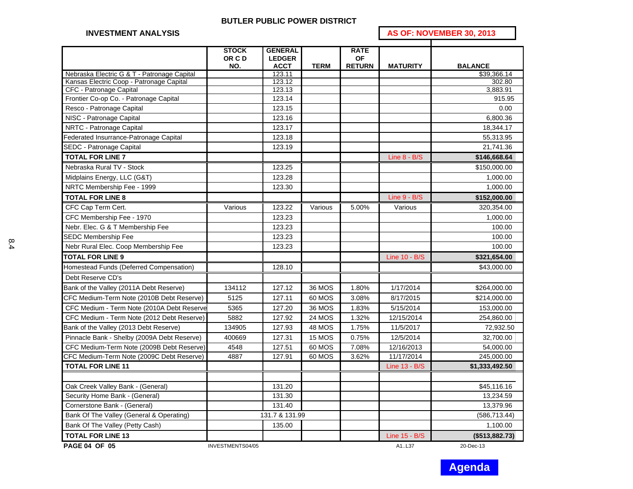#### **BUTLER PUBLIC POWER DISTRICT**

# **INVESTMENT ANALYSIS AS OF: NOVEMBER 30, 2013**

|                                             | <b>STOCK</b>     | <b>GENERAL</b>        |               | <b>RATE</b>   |                 |                               |
|---------------------------------------------|------------------|-----------------------|---------------|---------------|-----------------|-------------------------------|
|                                             | OR C D           | <b>LEDGER</b>         |               | <b>OF</b>     |                 |                               |
| Nebraska Electric G & T - Patronage Capital | NO.              | <b>ACCT</b><br>123.11 | <b>TERM</b>   | <b>RETURN</b> | <b>MATURITY</b> | <b>BALANCE</b><br>\$39,366.14 |
| Kansas Electric Coop - Patronage Capital    |                  | 123.12                |               |               |                 | 302.80                        |
| CFC - Patronage Capital                     |                  | 123.13                |               |               |                 | 3,883.91                      |
| Frontier Co-op Co. - Patronage Capital      |                  | 123.14                |               |               |                 | 915.95                        |
| Resco - Patronage Capital                   |                  | 123.15                |               |               |                 | 0.00                          |
| NISC - Patronage Capital                    |                  | 123.16                |               |               |                 | 6,800.36                      |
| NRTC - Patronage Capital                    |                  | 123.17                |               |               |                 | 18,344.17                     |
| Federated Insurrance-Patronage Capital      |                  | 123.18                |               |               |                 | 55,313.95                     |
| <b>SEDC - Patronage Capital</b>             |                  | 123.19                |               |               |                 | 21,741.36                     |
| <b>TOTAL FOR LINE 7</b>                     |                  |                       |               |               | Line $8 - B/S$  | \$146,668.64                  |
| Nebraska Rural TV - Stock                   |                  | 123.25                |               |               |                 | \$150,000.00                  |
| Midplains Energy, LLC (G&T)                 |                  | 123.28                |               |               |                 | 1,000.00                      |
| NRTC Membership Fee - 1999                  |                  | 123.30                |               |               |                 | 1,000.00                      |
| <b>TOTAL FOR LINE 8</b>                     |                  |                       |               |               | Line $9 - B/S$  | \$152,000.00                  |
| CFC Cap Term Cert.                          | Various          | 123.22                | Various       | 5.00%         | Various         | 320,354.00                    |
| CFC Membership Fee - 1970                   |                  | 123.23                |               |               |                 | 1,000.00                      |
| Nebr. Elec. G & T Membership Fee            |                  | 123.23                |               |               |                 | 100.00                        |
| <b>SEDC Membership Fee</b>                  |                  | 123.23                |               |               |                 | 100.00                        |
| Nebr Rural Elec. Coop Membership Fee        |                  | 123.23                |               |               |                 | 100.00                        |
| <b>TOTAL FOR LINE 9</b>                     |                  |                       |               |               | Line 10 - B/S   | \$321,654.00                  |
| Homestead Funds (Deferred Compensation)     |                  | 128.10                |               |               |                 | \$43,000.00                   |
| Debt Reserve CD's                           |                  |                       |               |               |                 |                               |
| Bank of the Valley (2011A Debt Reserve)     | 134112           | 127.12                | 36 MOS        | 1.80%         | 1/17/2014       | \$264,000.00                  |
| CFC Medium-Term Note (2010B Debt Reserve)   | 5125             | 127.11                | 60 MOS        | 3.08%         | 8/17/2015       | \$214,000.00                  |
| CFC Medium - Term Note (2010A Debt Reserve  | 5365             | 127.20                | 36 MOS        | 1.83%         | 5/15/2014       | 153,000.00                    |
| CFC Medium - Term Note (2012 Debt Reserve)  | 5882             | 127.92                | <b>24 MOS</b> | 1.32%         | 12/15/2014      | 254,860.00                    |
| Bank of the Valley (2013 Debt Reserve)      | 134905           | 127.93                | <b>48 MOS</b> | 1.75%         | 11/5/2017       | 72,932.50                     |
| Pinnacle Bank - Shelby (2009A Debt Reserve) | 400669           | 127.31                | 15 MOS        | 0.75%         | 12/5/2014       | 32,700.00                     |
| CFC Medium-Term Note (2009B Debt Reserve)   | 4548             | 127.51                | 60 MOS        | 7.08%         | 12/16/2013      | 54,000.00                     |
| CFC Medium-Term Note (2009C Debt Reserve)   | 4887             | 127.91                | 60 MOS        | 3.62%         | 11/17/2014      | 245,000.00                    |
| <b>TOTAL FOR LINE 11</b>                    |                  |                       |               |               | Line 13 - B/S   | \$1,333,492.50                |
|                                             |                  |                       |               |               |                 |                               |
| Oak Creek Valley Bank - (General)           |                  | 131.20                |               |               |                 | \$45,116.16                   |
| Security Home Bank - (General)              |                  | 131.30                |               |               |                 | 13,234.59                     |
| Cornerstone Bank - (General)                |                  | 131.40                |               |               |                 | 13,379.96                     |
| Bank Of The Valley (General & Operating)    |                  | 131.7 & 131.99        |               |               |                 | (586, 713.44)                 |
| Bank Of The Valley (Petty Cash)             |                  | 135.00                |               |               |                 | 1,100.00                      |
| <b>TOTAL FOR LINE 13</b>                    |                  |                       |               |               | Line 15 - B/S   | (\$513,882.73)                |
| <b>PAGE 04 OF 05</b>                        | INVESTMENTS04/05 |                       |               |               | A1.L37          | 20-Dec-13                     |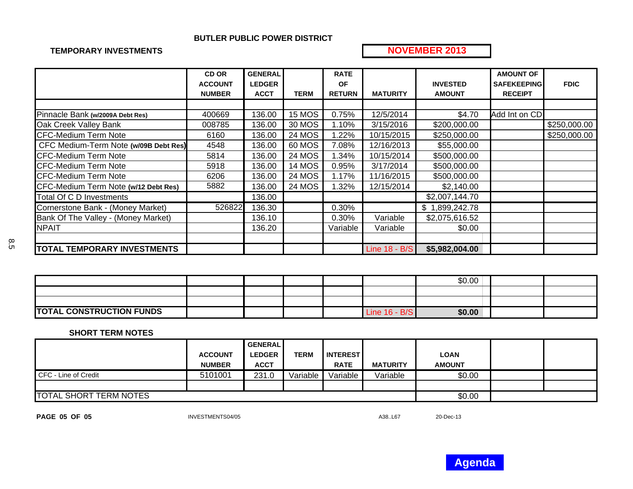### **BUTLER PUBLIC POWER DISTRICT**

### **TEMPORARY INVESTMENTS**

# **NOVEMBER 2013**

|                                       | <b>CD OR</b>   | <b>GENERAL</b> |               | <b>RATE</b>   |                 |                 | <b>AMOUNT OF</b>   |              |
|---------------------------------------|----------------|----------------|---------------|---------------|-----------------|-----------------|--------------------|--------------|
|                                       | <b>ACCOUNT</b> | <b>LEDGER</b>  |               | <b>OF</b>     |                 | <b>INVESTED</b> | <b>SAFEKEEPING</b> | <b>FDIC</b>  |
|                                       | <b>NUMBER</b>  | <b>ACCT</b>    | <b>TERM</b>   | <b>RETURN</b> | <b>MATURITY</b> | <b>AMOUNT</b>   | <b>RECEIPT</b>     |              |
|                                       |                |                |               |               |                 |                 |                    |              |
| Pinnacle Bank (w/2009A Debt Res)      | 400669         | 136.00         | 15 MOS        | 0.75%         | 12/5/2014       | \$4.70          | Add Int on CD      |              |
| Oak Creek Valley Bank                 | 008785         | 136.00         | 30 MOS        | 1.10%         | 3/15/2016       | \$200,000.00    |                    | \$250,000.00 |
| <b>CFC-Medium Term Note</b>           | 6160           | 136.00         | <b>24 MOS</b> | 1.22%         | 10/15/2015      | \$250,000.00    |                    | \$250,000.00 |
| CFC Medium-Term Note (w/09B Debt Res) | 4548           | 136.00         | 60 MOS        | 7.08%         | 12/16/2013      | \$55,000.00     |                    |              |
| <b>CFC-Medium Term Note</b>           | 5814           | 136.00         | 24 MOS        | 1.34%         | 10/15/2014      | \$500,000.00    |                    |              |
| <b>CFC-Medium Term Note</b>           | 5918           | 136.00         | <b>14 MOS</b> | 0.95%         | 3/17/2014       | \$500,000.00    |                    |              |
| <b>CFC-Medium Term Note</b>           | 6206           | 136.00         | <b>24 MOS</b> | 1.17%         | 11/16/2015      | \$500,000.00    |                    |              |
| CFC-Medium Term Note (w/12 Debt Res)  | 5882           | 136.00         | 24 MOS        | 1.32%         | 12/15/2014      | \$2,140.00      |                    |              |
| Total Of C D Investments              |                | 136.00         |               |               |                 | \$2,007,144.70  |                    |              |
| Cornerstone Bank - (Money Market)     | 526822         | 136.30         |               | 0.30%         |                 | \$1,899,242.78  |                    |              |
| Bank Of The Valley - (Money Market)   |                | 136.10         |               | 0.30%         | Variable        | \$2,075,616.52  |                    |              |
| <b>NPAIT</b>                          |                | 136.20         |               | Variable      | Variable        | \$0.00          |                    |              |
|                                       |                |                |               |               |                 |                 |                    |              |
| <b>TOTAL TEMPORARY INVESTMENTS</b>    |                |                |               |               | Line 18 - B/S   | \$5,982,004.00  |                    |              |

|                                 |  |  |                 | \$0.00 |  |
|---------------------------------|--|--|-----------------|--------|--|
|                                 |  |  |                 |        |  |
|                                 |  |  |                 |        |  |
| <b>TOTAL CONSTRUCTION FUNDS</b> |  |  | D/D<br>Line 16. | \$0.00 |  |

#### **SHORT TERM NOTES**

|                               |                | <b>GENERAL</b> |             |                     |                 |               |  |
|-------------------------------|----------------|----------------|-------------|---------------------|-----------------|---------------|--|
|                               | <b>ACCOUNT</b> | <b>LEDGER</b>  | <b>TERM</b> | <b>I INTEREST I</b> |                 | <b>LOAN</b>   |  |
|                               | <b>NUMBER</b>  | <b>ACCT</b>    |             | <b>RATE</b>         | <b>MATURITY</b> | <b>AMOUNT</b> |  |
| CFC - Line of Credit          | 5101001        | 231.0          | Variable    | Variable            | Variable        | \$0.00        |  |
|                               |                |                |             |                     |                 |               |  |
| <b>TOTAL SHORT TERM NOTES</b> |                |                |             |                     |                 | \$0.00        |  |

**PAGE 05 OF 05**

INVESTMENTS04/05 A38.L67 A38.L67 20-Dec-13

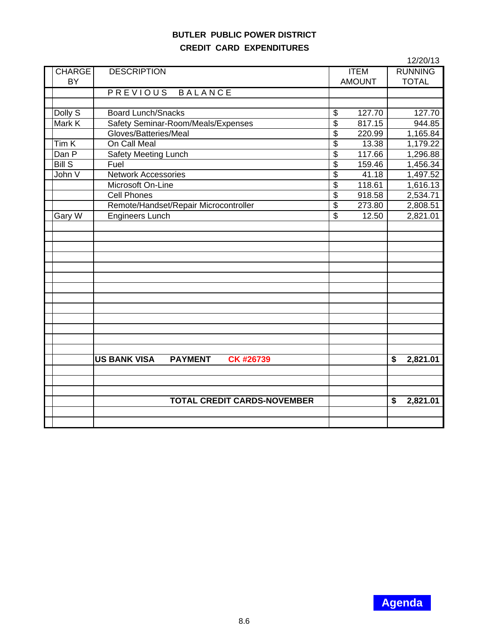# **BUTLER PUBLIC POWER DISTRICT CREDIT CARD EXPENDITURES**

| <b>DESCRIPTION</b><br><b>RUNNING</b><br><b>CHARGE</b><br><b>ITEM</b><br><b>AMOUNT</b><br><b>TOTAL</b><br><b>BY</b><br>PREVIOUS BALANCE<br>Dolly S<br><b>Board Lunch/Snacks</b><br>\$<br>127.70<br>127.70<br>Safety Seminar-Room/Meals/Expenses<br>$\overline{\$}$<br>Mark K<br>817.15<br>944.85<br>Gloves/Batteries/Meal<br>\$<br>220.99<br>1,165.84<br>On Call Meal<br>Tim <sub>K</sub><br>$\overline{\mathcal{S}}$<br>1,179.22<br>13.38<br><b>Safety Meeting Lunch</b><br>\$<br>117.66<br>Dan P<br>1,296.88<br><b>Bill S</b><br>$\overline{\mathcal{S}}$<br>159.46<br>Fuel<br>1,456.34<br><b>Network Accessories</b><br>$\overline{\mathcal{S}}$<br>1,497.52<br>John V<br>41.18<br>$\overline{\$}$<br>118.61<br>Microsoft On-Line<br>1,616.13<br>$\overline{\$}$<br><b>Cell Phones</b><br>918.58<br>2,534.71<br>\$<br>Remote/Handset/Repair Microcontroller<br>273.80<br>2,808.51<br>$\overline{\mathcal{S}}$<br><b>Engineers Lunch</b><br>Gary W<br>12.50<br>2,821.01<br><b>PAYMENT</b><br>CK #26739<br><b>US BANK VISA</b><br>2,821.01<br>\$<br><b>TOTAL CREDIT CARDS-NOVEMBER</b><br>2,821.01<br>\$ |  |  | 12/20/13 |
|----------------------------------------------------------------------------------------------------------------------------------------------------------------------------------------------------------------------------------------------------------------------------------------------------------------------------------------------------------------------------------------------------------------------------------------------------------------------------------------------------------------------------------------------------------------------------------------------------------------------------------------------------------------------------------------------------------------------------------------------------------------------------------------------------------------------------------------------------------------------------------------------------------------------------------------------------------------------------------------------------------------------------------------------------------------------------------------------------------|--|--|----------|
|                                                                                                                                                                                                                                                                                                                                                                                                                                                                                                                                                                                                                                                                                                                                                                                                                                                                                                                                                                                                                                                                                                          |  |  |          |
|                                                                                                                                                                                                                                                                                                                                                                                                                                                                                                                                                                                                                                                                                                                                                                                                                                                                                                                                                                                                                                                                                                          |  |  |          |
|                                                                                                                                                                                                                                                                                                                                                                                                                                                                                                                                                                                                                                                                                                                                                                                                                                                                                                                                                                                                                                                                                                          |  |  |          |
|                                                                                                                                                                                                                                                                                                                                                                                                                                                                                                                                                                                                                                                                                                                                                                                                                                                                                                                                                                                                                                                                                                          |  |  |          |
|                                                                                                                                                                                                                                                                                                                                                                                                                                                                                                                                                                                                                                                                                                                                                                                                                                                                                                                                                                                                                                                                                                          |  |  |          |
|                                                                                                                                                                                                                                                                                                                                                                                                                                                                                                                                                                                                                                                                                                                                                                                                                                                                                                                                                                                                                                                                                                          |  |  |          |
|                                                                                                                                                                                                                                                                                                                                                                                                                                                                                                                                                                                                                                                                                                                                                                                                                                                                                                                                                                                                                                                                                                          |  |  |          |
|                                                                                                                                                                                                                                                                                                                                                                                                                                                                                                                                                                                                                                                                                                                                                                                                                                                                                                                                                                                                                                                                                                          |  |  |          |
|                                                                                                                                                                                                                                                                                                                                                                                                                                                                                                                                                                                                                                                                                                                                                                                                                                                                                                                                                                                                                                                                                                          |  |  |          |
|                                                                                                                                                                                                                                                                                                                                                                                                                                                                                                                                                                                                                                                                                                                                                                                                                                                                                                                                                                                                                                                                                                          |  |  |          |
|                                                                                                                                                                                                                                                                                                                                                                                                                                                                                                                                                                                                                                                                                                                                                                                                                                                                                                                                                                                                                                                                                                          |  |  |          |
|                                                                                                                                                                                                                                                                                                                                                                                                                                                                                                                                                                                                                                                                                                                                                                                                                                                                                                                                                                                                                                                                                                          |  |  |          |
|                                                                                                                                                                                                                                                                                                                                                                                                                                                                                                                                                                                                                                                                                                                                                                                                                                                                                                                                                                                                                                                                                                          |  |  |          |
|                                                                                                                                                                                                                                                                                                                                                                                                                                                                                                                                                                                                                                                                                                                                                                                                                                                                                                                                                                                                                                                                                                          |  |  |          |
|                                                                                                                                                                                                                                                                                                                                                                                                                                                                                                                                                                                                                                                                                                                                                                                                                                                                                                                                                                                                                                                                                                          |  |  |          |
|                                                                                                                                                                                                                                                                                                                                                                                                                                                                                                                                                                                                                                                                                                                                                                                                                                                                                                                                                                                                                                                                                                          |  |  |          |
|                                                                                                                                                                                                                                                                                                                                                                                                                                                                                                                                                                                                                                                                                                                                                                                                                                                                                                                                                                                                                                                                                                          |  |  |          |
|                                                                                                                                                                                                                                                                                                                                                                                                                                                                                                                                                                                                                                                                                                                                                                                                                                                                                                                                                                                                                                                                                                          |  |  |          |
|                                                                                                                                                                                                                                                                                                                                                                                                                                                                                                                                                                                                                                                                                                                                                                                                                                                                                                                                                                                                                                                                                                          |  |  |          |
|                                                                                                                                                                                                                                                                                                                                                                                                                                                                                                                                                                                                                                                                                                                                                                                                                                                                                                                                                                                                                                                                                                          |  |  |          |
|                                                                                                                                                                                                                                                                                                                                                                                                                                                                                                                                                                                                                                                                                                                                                                                                                                                                                                                                                                                                                                                                                                          |  |  |          |
|                                                                                                                                                                                                                                                                                                                                                                                                                                                                                                                                                                                                                                                                                                                                                                                                                                                                                                                                                                                                                                                                                                          |  |  |          |
|                                                                                                                                                                                                                                                                                                                                                                                                                                                                                                                                                                                                                                                                                                                                                                                                                                                                                                                                                                                                                                                                                                          |  |  |          |
|                                                                                                                                                                                                                                                                                                                                                                                                                                                                                                                                                                                                                                                                                                                                                                                                                                                                                                                                                                                                                                                                                                          |  |  |          |
|                                                                                                                                                                                                                                                                                                                                                                                                                                                                                                                                                                                                                                                                                                                                                                                                                                                                                                                                                                                                                                                                                                          |  |  |          |
|                                                                                                                                                                                                                                                                                                                                                                                                                                                                                                                                                                                                                                                                                                                                                                                                                                                                                                                                                                                                                                                                                                          |  |  |          |
|                                                                                                                                                                                                                                                                                                                                                                                                                                                                                                                                                                                                                                                                                                                                                                                                                                                                                                                                                                                                                                                                                                          |  |  |          |
|                                                                                                                                                                                                                                                                                                                                                                                                                                                                                                                                                                                                                                                                                                                                                                                                                                                                                                                                                                                                                                                                                                          |  |  |          |
|                                                                                                                                                                                                                                                                                                                                                                                                                                                                                                                                                                                                                                                                                                                                                                                                                                                                                                                                                                                                                                                                                                          |  |  |          |
|                                                                                                                                                                                                                                                                                                                                                                                                                                                                                                                                                                                                                                                                                                                                                                                                                                                                                                                                                                                                                                                                                                          |  |  |          |
|                                                                                                                                                                                                                                                                                                                                                                                                                                                                                                                                                                                                                                                                                                                                                                                                                                                                                                                                                                                                                                                                                                          |  |  |          |
|                                                                                                                                                                                                                                                                                                                                                                                                                                                                                                                                                                                                                                                                                                                                                                                                                                                                                                                                                                                                                                                                                                          |  |  |          |
|                                                                                                                                                                                                                                                                                                                                                                                                                                                                                                                                                                                                                                                                                                                                                                                                                                                                                                                                                                                                                                                                                                          |  |  |          |
|                                                                                                                                                                                                                                                                                                                                                                                                                                                                                                                                                                                                                                                                                                                                                                                                                                                                                                                                                                                                                                                                                                          |  |  |          |
|                                                                                                                                                                                                                                                                                                                                                                                                                                                                                                                                                                                                                                                                                                                                                                                                                                                                                                                                                                                                                                                                                                          |  |  |          |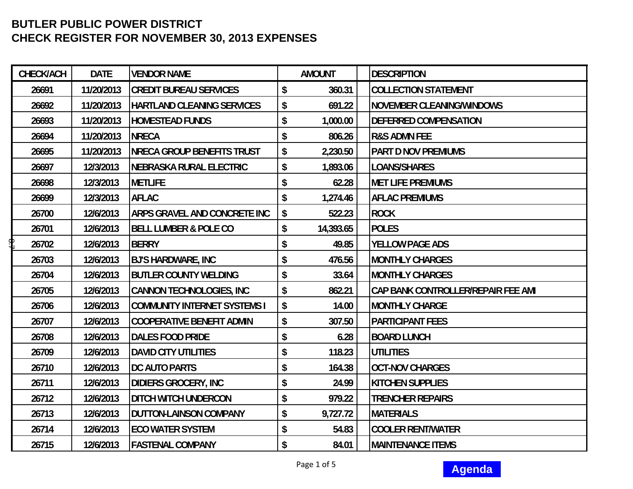| <b>CHECK/ACH</b> | <b>DATE</b> | <b>VENDOR NAME</b>                  | <b>AMOUNT</b>   | <b>DESCRIPTION</b>                 |
|------------------|-------------|-------------------------------------|-----------------|------------------------------------|
| 26691            | 11/20/2013  | <b>CREDIT BUREAU SERVICES</b>       | \$<br>360.31    | <b>COLLECTION STATEMENT</b>        |
| 26692            | 11/20/2013  | <b>HARTLAND CLEANING SERVICES</b>   | \$<br>691.22    | <b>NOVEMBER CLEANING/WINDOWS</b>   |
| 26693            | 11/20/2013  | <b>HOMESTEAD FUNDS</b>              | \$<br>1,000.00  | <b>DEFERRED COMPENSATION</b>       |
| 26694            | 11/20/2013  | <b>NRECA</b>                        | \$<br>806.26    | <b>R&amp;S ADMN FEE</b>            |
| 26695            | 11/20/2013  | <b>NRECA GROUP BENEFITS TRUST</b>   | 2,230.50<br>\$  | <b>PART D NOV PREMIUMS</b>         |
| 26697            | 12/3/2013   | <b>NEBRASKA RURAL ELECTRIC</b>      | 1,893.06<br>\$  | LOANS/SHARES                       |
| 26698            | 12/3/2013   | <b>METLIFE</b>                      | 62.28<br>\$     | <b>MET LIFE PREMIUMS</b>           |
| 26699            | 12/3/2013   | <b>AFLAC</b>                        | 1,274.46<br>\$  | <b>AFLAC PREMIUMS</b>              |
| 26700            | 12/6/2013   | ARPS GRAVEL AND CONCRETE INC        | 522.23<br>\$    | <b>ROCK</b>                        |
| 26701            | 12/6/2013   | <b>BELL LUMBER &amp; POLE CO</b>    | 14,393.65<br>\$ | <b>POLES</b>                       |
| ዋ<br>26702       | 12/6/2013   | <b>BERRY</b>                        | 49.85<br>\$     | <b>YELLOW PAGE ADS</b>             |
| 26703            | 12/6/2013   | <b>BJ'S HARDWARE, INC</b>           | 476.56<br>\$    | <b>MONTHLY CHARGES</b>             |
| 26704            | 12/6/2013   | <b>BUTLER COUNTY WELDING</b>        | \$<br>33.64     | <b>MONTHLY CHARGES</b>             |
| 26705            | 12/6/2013   | <b>CANNON TECHNOLOGIES, INC</b>     | \$<br>862.21    | CAP BANK CONTROLLER/REPAIR FEE AMI |
| 26706            | 12/6/2013   | <b>COMMUNITY INTERNET SYSTEMS I</b> | \$<br>14.00     | <b>MONTHLY CHARGE</b>              |
| 26707            | 12/6/2013   | <b>COOPERATIVE BENEFIT ADMIN</b>    | \$<br>307.50    | <b>PARTICIPANT FEES</b>            |
| 26708            | 12/6/2013   | <b>DALES FOOD PRIDE</b>             | \$<br>6.28      | <b>BOARD LUNCH</b>                 |
| 26709            | 12/6/2013   | <b>DAVID CITY UTILITIES</b>         | \$<br>118.23    | <b>UTILITIES</b>                   |
| 26710            | 12/6/2013   | DC AUTO PARTS                       | \$<br>164.38    | <b>OCT-NOV CHARGES</b>             |
| 26711            | 12/6/2013   | <b>DIDIERS GROCERY, INC</b>         | \$<br>24.99     | <b>KITCHEN SUPPLIES</b>            |
| 26712            | 12/6/2013   | <b>DITCH WITCH UNDERCON</b>         | \$<br>979.22    | <b>TRENCHER REPAIRS</b>            |
| 26713            | 12/6/2013   | <b>DUTTON-LAINSON COMPANY</b>       | \$<br>9,727.72  | <b>MATERIALS</b>                   |
| 26714            | 12/6/2013   | <b>ECO WATER SYSTEM</b>             | \$<br>54.83     | <b>COOLER RENT/WATER</b>           |
| 26715            | 12/6/2013   | <b>FASTENAL COMPANY</b>             | \$<br>84.01     | <b>MAINTENANCE ITEMS</b>           |

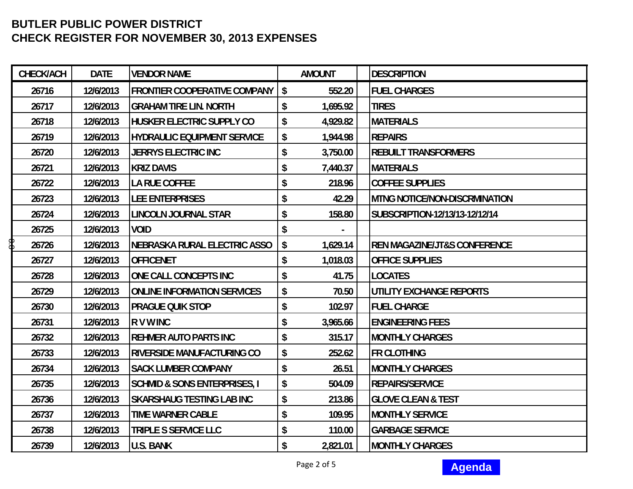| CHECK/ACH   | <b>DATE</b> | <b>VENDOR NAME</b>                      | <b>AMOUNT</b>          | <b>DESCRIPTION</b>                      |
|-------------|-------------|-----------------------------------------|------------------------|-----------------------------------------|
| 26716       | 12/6/2013   | <b>FRONTIER COOPERATIVE COMPANY</b>     | $\sqrt[6]{}$<br>552.20 | <b>FUEL CHARGES</b>                     |
| 26717       | 12/6/2013   | <b>GRAHAM TIRE LIN. NORTH</b>           | \$<br>1,695.92         | <b>TIRES</b>                            |
| 26718       | 12/6/2013   | <b>HUSKER ELECTRIC SUPPLY CO</b>        | \$<br>4,929.82         | <b>MATERIALS</b>                        |
| 26719       | 12/6/2013   | <b>HYDRAULIC EQUIPMENT SERVICE</b>      | \$<br>1,944.98         | <b>REPAIRS</b>                          |
| 26720       | 12/6/2013   | <b>JERRYS ELECTRIC INC</b>              | \$<br>3,750.00         | <b>REBUILT TRANSFORMERS</b>             |
| 26721       | 12/6/2013   | <b>KRIZ DAVIS</b>                       | \$<br>7,440.37         | <b>MATERIALS</b>                        |
| 26722       | 12/6/2013   | <b>LA RUE COFFEE</b>                    | \$<br>218.96           | <b>COFFEE SUPPLIES</b>                  |
| 26723       | 12/6/2013   | <b>LEE ENTERPRISES</b>                  | \$<br>42.29            | <b>MTNG NOTICE/NON-DISCRMINATION</b>    |
| 26724       | 12/6/2013   | <b>LINCOLN JOURNAL STAR</b>             | \$<br>158.80           | SUBSCRIPTION-12/13/13-12/12/14          |
| 26725       | 12/6/2013   | <b>VOID</b>                             | \$                     |                                         |
| \$<br>26726 | 12/6/2013   | NEBRASKA RURAL ELECTRIC ASSO            | \$<br>1,629.14         | <b>REN MAGAZINE/JT&amp;S CONFERENCE</b> |
| 26727       | 12/6/2013   | <b>OFFICENET</b>                        | 1,018.03<br>\$         | <b>OFFICE SUPPLIES</b>                  |
| 26728       | 12/6/2013   | ONE CALL CONCEPTS INC                   | 41.75<br>\$            | <b>LOCATES</b>                          |
| 26729       | 12/6/2013   | <b>ONLINE INFORMATION SERVICES</b>      | 70.50<br>\$            | UTILITY EXCHANGE REPORTS                |
| 26730       | 12/6/2013   | <b>PRAGUE QUIK STOP</b>                 | \$<br>102.97           | <b>FUEL CHARGE</b>                      |
| 26731       | 12/6/2013   | <b>RVWINC</b>                           | \$<br>3,965.66         | <b>ENGINEERING FEES</b>                 |
| 26732       | 12/6/2013   | <b>REHMER AUTO PARTS INC</b>            | \$<br>315.17           | <b>MONTHLY CHARGES</b>                  |
| 26733       | 12/6/2013   | <b>RIVERSIDE MANUFACTURING CO</b>       | \$<br>252.62           | <b>FR CLOTHING</b>                      |
| 26734       | 12/6/2013   | <b>SACK LUMBER COMPANY</b>              | \$<br>26.51            | <b>MONTHLY CHARGES</b>                  |
| 26735       | 12/6/2013   | <b>SCHMID &amp; SONS ENTERPRISES, I</b> | \$<br>504.09           | <b>REPAIRS/SERVICE</b>                  |
| 26736       | 12/6/2013   | <b>SKARSHAUG TESTING LAB INC</b>        | \$<br>213.86           | <b>GLOVE CLEAN &amp; TEST</b>           |
| 26737       | 12/6/2013   | <b>TIME WARNER CABLE</b>                | \$<br>109.95           | <b>MONTHLY SERVICE</b>                  |
| 26738       | 12/6/2013   | <b>TRIPLE S SERVICE LLC</b>             | \$<br>110.00           | <b>GARBAGE SERVICE</b>                  |
| 26739       | 12/6/2013   | <b>U.S. BANK</b>                        | \$<br>2,821.01         | <b>IMONTHLY CHARGES</b>                 |

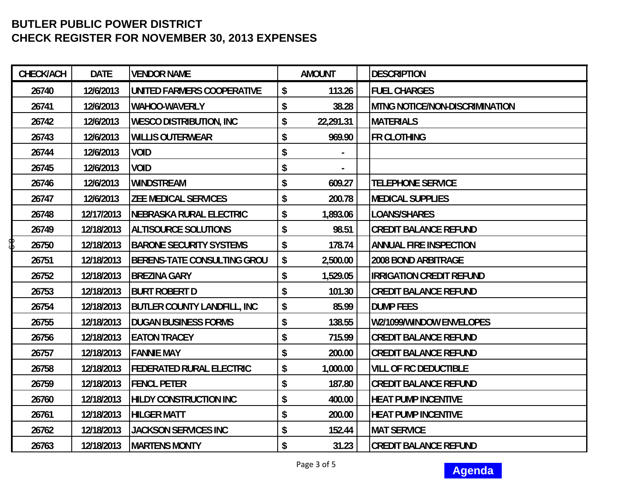| CHECK/ACH   | <b>DATE</b> | <b>VENDOR NAME</b>                 | <b>AMOUNT</b>   | <b>DESCRIPTION</b>                    |
|-------------|-------------|------------------------------------|-----------------|---------------------------------------|
| 26740       | 12/6/2013   | UNITED FARMERS COOPERATIVE         | 113.26<br>\$    | <b>FUEL CHARGES</b>                   |
| 26741       | 12/6/2013   | <b>WAHOO-WAVERLY</b>               | \$<br>38.28     | <b>MTNG NOTICE/NON-DISCRIMINATION</b> |
| 26742       | 12/6/2013   | <b>WESCO DISTRIBUTION, INC</b>     | \$<br>22,291.31 | <b>MATERIALS</b>                      |
| 26743       | 12/6/2013   | <b>WILLIS OUTERWEAR</b>            | \$<br>969.90    | <b>FR CLOTHING</b>                    |
| 26744       | 12/6/2013   | <b>VOID</b>                        | \$              |                                       |
| 26745       | 12/6/2013   | <b>VOID</b>                        | \$              |                                       |
| 26746       | 12/6/2013   | <b>WINDSTREAM</b>                  | \$<br>609.27    | <b>TELEPHONE SERVICE</b>              |
| 26747       | 12/6/2013   | <b>ZEE MEDICAL SERVICES</b>        | \$<br>200.78    | <b>MEDICAL SUPPLIES</b>               |
| 26748       | 12/17/2013  | <b>NEBRASKA RURAL ELECTRIC</b>     | \$<br>1,893.06  | <b>LOANS/SHARES</b>                   |
| 26749       | 12/18/2013  | <b>ALTISOURCE SOLUTIONS</b>        | 98.51<br>\$     | <b>CREDIT BALANCE REFUND</b>          |
| \$<br>26750 | 12/18/2013  | <b>BARONE SECURITY SYSTEMS</b>     | \$<br>178.74    | <b>ANNUAL FIRE INSPECTION</b>         |
| 26751       | 12/18/2013  | <b>BERENS-TATE CONSULTING GROU</b> | 2,500.00<br>\$  | 2008 BOND ARBITRAGE                   |
| 26752       | 12/18/2013  | <b>BREZINA GARY</b>                | 1,529.05<br>\$  | <b>IRRIGATION CREDIT REFUND</b>       |
| 26753       | 12/18/2013  | <b>BURT ROBERT D</b>               | 101.30<br>\$    | <b>CREDIT BALANCE REFUND</b>          |
| 26754       | 12/18/2013  | <b>BUTLER COUNTY LANDFILL, INC</b> | \$<br>85.99     | <b>DUMP FEES</b>                      |
| 26755       | 12/18/2013  | <b>DUGAN BUSINESS FORMS</b>        | \$<br>138.55    | W2/1099/WINDOW ENVELOPES              |
| 26756       | 12/18/2013  | <b>EATON TRACEY</b>                | \$<br>715.99    | <b>CREDIT BALANCE REFUND</b>          |
| 26757       | 12/18/2013  | <b>FANNIE MAY</b>                  | \$<br>200.00    | <b>CREDIT BALANCE REFUND</b>          |
| 26758       | 12/18/2013  | <b>FEDERATED RURAL ELECTRIC</b>    | \$<br>1,000.00  | <b>VILL OF RC DEDUCTIBLE</b>          |
| 26759       | 12/18/2013  | <b>FENCL PETER</b>                 | \$<br>187.80    | <b>CREDIT BALANCE REFUND</b>          |
| 26760       | 12/18/2013  | <b>HILDY CONSTRUCTION INC</b>      | \$<br>400.00    | <b>HEAT PUMP INCENTIVE</b>            |
| 26761       | 12/18/2013  | <b>HILGER MATT</b>                 | \$<br>200.00    | <b>HEAT PUMP INCENTIVE</b>            |
| 26762       | 12/18/2013  | <b>JACKSON SERVICES INC</b>        | \$<br>152.44    | <b>MAT SERVICE</b>                    |
| 26763       | 12/18/2013  | <b>MARTENS MONTY</b>               | \$<br>31.23     | <b>CREDIT BALANCE REFUND</b>          |



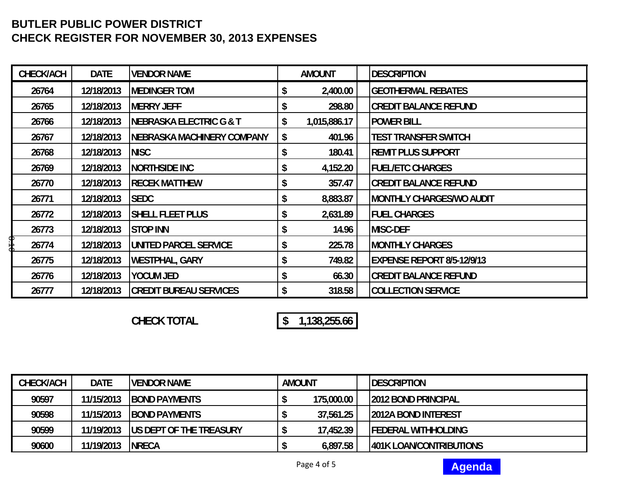| <b>CHECK/ACH</b> | <b>DATE</b> | <b>VENDOR NAME</b>            | <b>AMOUNT</b>      | <b>DESCRIPTION</b>                |
|------------------|-------------|-------------------------------|--------------------|-----------------------------------|
| 26764            | 12/18/2013  | <b>IMEDINGER TOM</b>          | 2,400.00           | <b>GEOTHERMAL REBATES</b>         |
| 26765            | 12/18/2013  | <b>IMERRY JEFF</b>            | \$<br>298.80       | <b>CREDIT BALANCE REFUND</b>      |
| 26766            | 12/18/2013  | INEBRASKA ELECTRIC G & T      | \$<br>1,015,886.17 | <b>POWER BILL</b>                 |
| 26767            | 12/18/2013  | INEBRASKA MACHINERY COMPANY   | \$<br>401.96       | <b>TEST TRANSFER SWITCH</b>       |
| 26768            | 12/18/2013  | <b>NISC</b>                   | \$<br>180.41       | <b>REMIT PLUS SUPPORT</b>         |
| 26769            | 12/18/2013  | <b>NORTHSIDE INC</b>          | 4,152.20           | <b>FUEL/ETC CHARGES</b>           |
| 26770            | 12/18/2013  | <b>RECEK MATTHEW</b>          | \$<br>357.47       | <b>CREDIT BALANCE REFUND</b>      |
| 26771            | 12/18/2013  | <b>SEDC</b>                   | \$<br>8,883.87     | <b>MONTHLY CHARGES/WO AUDIT</b>   |
| 26772            | 12/18/2013  | <b>SHELL FLEET PLUS</b>       | \$<br>2,631.89     | <b>FUEL CHARGES</b>               |
| 26773            | 12/18/2013  | <b>STOP INN</b>               | 14.96              | <b>MISC-DEF</b>                   |
| գ[<br>3<br>26774 | 12/18/2013  | UNITED PARCEL SERVICE         | \$<br>225.78       | <b>MONTHLY CHARGES</b>            |
| 26775            | 12/18/2013  | WESTPHAL, GARY                | 749.82             | <b>EXPENSE REPORT 8/5-12/9/13</b> |
| 26776            | 12/18/2013  | <b>YOCUM JED</b>              | \$<br>66.30        | <b>CREDIT BALANCE REFUND</b>      |
| 26777            | 12/18/2013  | <b>CREDIT BUREAU SERVICES</b> | \$<br>318.58       | <b>COLLECTION SERVICE</b>         |

**CHECK TOTAL 1,138,255.66 \$** 

| <b>CHECK/ACH</b> | <b>DATE</b> | <b>IVENDOR NAME</b>             | <b>AMOUNT</b> |            | <b>IDESCRIPTION</b>             |
|------------------|-------------|---------------------------------|---------------|------------|---------------------------------|
| 90597            | 11/15/2013  | <b>IBOND PAYMENTS</b>           |               | 175,000.00 | <b>12012 BOND PRINCIPAL</b>     |
| 90598            | 11/15/2013  | <b>IBOND PAYMENTS</b>           |               | 37,561.25  | <b>12012A BOND INTEREST</b>     |
| 90599            | 11/19/2013  | <b>IUS DEPT OF THE TREASURY</b> |               | 17,452.39  | <b>IFEDERAL WITHHOLDING</b>     |
| 90600            | 11/19/2013  | <b>INRECA</b>                   |               | 6,897.58   | <b>1401K LOAN/CONTRIBUTIONS</b> |

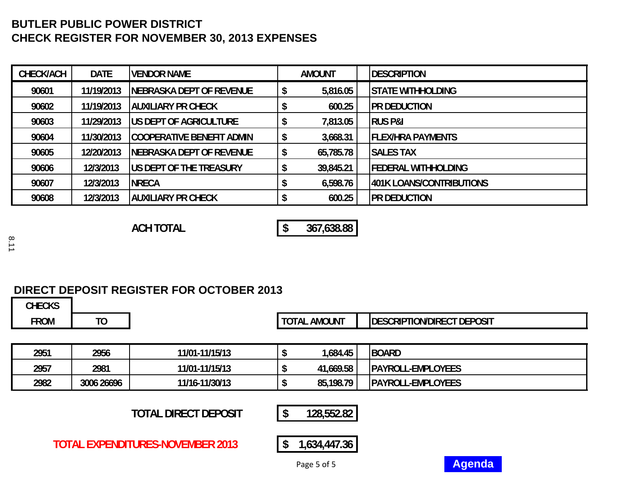| <b>CHECK/ACH</b> | <b>DATE</b> | <b>IVENDOR NAME</b>             | <b>AMOUNT</b> | <b>IDESCRIPTION</b>             |
|------------------|-------------|---------------------------------|---------------|---------------------------------|
| 90601            | 11/19/2013  | INEBRASKA DEPT OF REVENUE       | 5,816.05      | <b>ISTATE WITHHOLDING</b>       |
| 90602            | 11/19/2013  | IAUXILIARY PR CHECK             | 600.25        | <b>PR DEDUCTION</b>             |
| 90603            | 11/29/2013  | <b>IUS DEPT OF AGRICULTURE</b>  | 7,813.05      | <b>RUS P&amp;I</b>              |
| 90604            | 11/30/2013  | ICOOPERATIVE BENEFIT ADMIN      | 3,668.31      | <b>IFLEX/HRA PAYMENTS</b>       |
| 90605            | 12/20/2013  | INEBRASKA DEPT OF REVENUE       | 65,785.78     | <b>SALES TAX</b>                |
| 90606            | 12/3/2013   | <b>IUS DEPT OF THE TREASURY</b> | 39,845.21     | <b>IFEDERAL WITHHOLDING</b>     |
| 90607            | 12/3/2013   | <b>NRECA</b>                    | 6,598.76      | <b>401K LOANS/CONTRIBUTIONS</b> |
| 90608            | 12/3/2013   | IAUXILIARY PR CHECK             | 600.25        | <b>PR DEDUCTION</b>             |

**ACH TOTAL 367,638.88 \$** 

8.11

# **DIRECT DEPOSIT REGISTER FOR OCTOBER 2013**

**CHECKS FROM TO TOTAL AMOUNT DESCRIPTION/DIRECT DEPOSIT2951 2956 11/01-11/15/13 1,684.45 \$ BOARD 2957 2981 11/01-11/15/13 41,669.58 \$ PAYROLL-EMPLOYEES 2982 3006 26696 11/16-11/30/13 85,198.79 \$ PAYROLL-EMPLOYEES TOTAL DIRECT DEPOSIT 128,552.82 \$ TOTAL EXPENDITURES-NOVEMBER 2013\$ 1,634,447.36**

Page 5 of 5

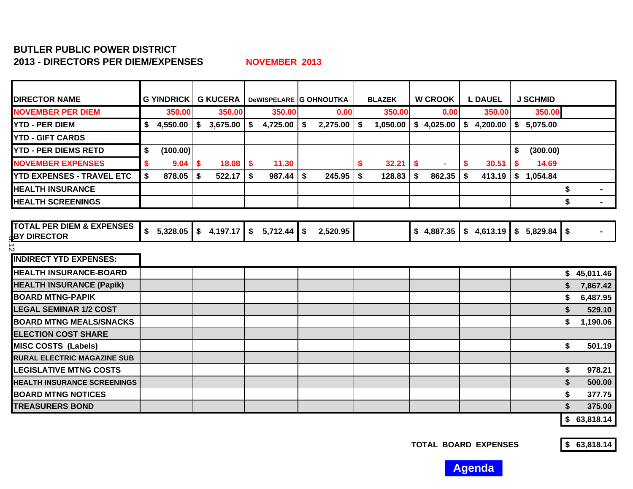# **BUTLER PUBLIC POWER DISTRICT 2013 - DIRECTORS PER DIEM/EXPENSES**

**NOVEMBER 2013**

| <b>DIRECTOR NAME</b>                                       | <b>G YINDRICK</b> |                            |                            | <b>G KUCERA</b>   DeWISPELARE G OHNOUTKA | <b>BLAZEK</b>   | <b>W CROOK</b>     | <b>L DAUEL</b> | <b>J SCHMID</b>             |                      |
|------------------------------------------------------------|-------------------|----------------------------|----------------------------|------------------------------------------|-----------------|--------------------|----------------|-----------------------------|----------------------|
| <b>NOVEMBER PER DIEM</b>                                   | 350.00            | 350.00                     | 350.00                     | 0.00                                     | 350.00          | 0.00               | 350.00         | 350.00                      |                      |
| <b>YTD - PER DIEM</b>                                      | \$4,550.00        | 3,675.00<br>\$             | \$<br>4,725.00             | \$<br>2,275.00                           | 1,050.00<br>-\$ | \$4,025.00         | \$4,200.00     | \$5,075.00                  |                      |
| <b>YTD - GIFT CARDS</b>                                    |                   |                            |                            |                                          |                 |                    |                |                             |                      |
| <b>YTD - PER DIEMS RETD</b>                                | (100.00)<br>\$    |                            |                            |                                          |                 |                    |                | \$<br>(300.00)              |                      |
| <b>NOVEMBER EXPENSES</b>                                   | 9.04<br>\$        | $\boldsymbol{\$}$<br>18.08 | $\boldsymbol{\$}$<br>11.30 |                                          | \$<br>32.21     | \$<br>$\mathbf{r}$ | \$<br>30.51    | \$<br>14.69                 |                      |
| <b>YTD EXPENSES - TRAVEL ETC</b>                           | Ŝ.<br>878.05      | Ŝ.<br>522.17               | Ŝ.<br>987.44               | \$<br>245.95                             | \$<br>128.83    | \$<br>862.35       | \$<br>413.19   | \$1,054.84                  |                      |
| <b>HEALTH INSURANCE</b>                                    |                   |                            |                            |                                          |                 |                    |                |                             | \$<br>$\blacksquare$ |
| <b>HEALTH SCREENINGS</b>                                   |                   |                            |                            |                                          |                 |                    |                |                             | \$<br>$\blacksquare$ |
|                                                            |                   |                            |                            |                                          |                 |                    |                |                             |                      |
| <b>TOTAL PER DIEM &amp; EXPENSES</b><br><b>BY DIRECTOR</b> | \$5,328.05        | \$4,197.17                 | \$<br>5,712.44             | \$<br>2,520.95                           |                 | \$4,887.35         |                | $$4,613.19$ $$5,829.84$ $$$ |                      |
| $\mathbf{v}$                                               |                   |                            |                            |                                          |                 |                    |                |                             |                      |
| <b>INDIRECT YTD EXPENSES:</b>                              |                   |                            |                            |                                          |                 |                    |                |                             |                      |
| <b>HEALTH INSURANCE-BOARD</b>                              |                   |                            |                            |                                          |                 |                    |                |                             | \$45,011.46          |
| <b>HEALTH INSURANCE (Papik)</b>                            |                   |                            |                            |                                          |                 |                    |                |                             | \$<br>7,867.42       |
| <b>BOARD MTNG-PAPIK</b>                                    |                   |                            |                            |                                          |                 |                    |                |                             | \$<br>6,487.95       |
| <b>LEGAL SEMINAR 1/2 COST</b>                              |                   |                            |                            |                                          |                 |                    |                |                             | \$<br>529.10         |
| <b>BOARD MTNG MEALS/SNACKS</b>                             |                   |                            |                            |                                          |                 |                    |                |                             | \$<br>1,190.06       |
| <b>ELECTION COST SHARE</b>                                 |                   |                            |                            |                                          |                 |                    |                |                             |                      |
| <b>MISC COSTS (Labels)</b>                                 |                   |                            |                            |                                          |                 |                    |                |                             | \$<br>501.19         |
| <b>RURAL ELECTRIC MAGAZINE SUB</b>                         |                   |                            |                            |                                          |                 |                    |                |                             |                      |
| <b>LEGISLATIVE MTNG COSTS</b>                              |                   |                            |                            |                                          |                 |                    |                |                             | \$<br>978.21         |
| <b>HEALTH INSURANCE SCREENINGS</b>                         |                   |                            |                            |                                          |                 |                    |                |                             | \$<br>500.00         |
| <b>BOARD MTNG NOTICES</b>                                  |                   |                            |                            |                                          |                 |                    |                |                             | \$<br>377.75         |
| <b>TREASURERS BOND</b>                                     |                   |                            |                            |                                          |                 |                    |                |                             | \$<br>375.00         |

**TOTAL BOARD EXPENSES 63,818.14 \$** 

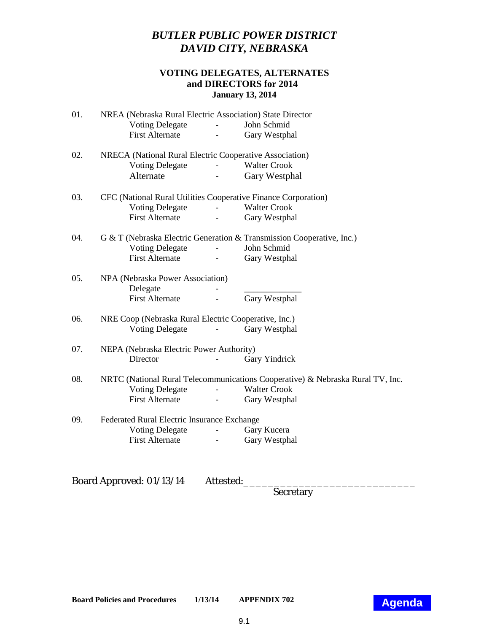# *BUTLER PUBLIC POWER DISTRICT DAVID CITY, NEBRASKA*

# **VOTING DELEGATES, ALTERNATES and DIRECTORS for 2014 January 13, 2014**

<span id="page-18-0"></span>

| 01. | NREA (Nebraska Rural Electric Association) State Director      |                          |                                                                                |  |  |  |  |  |
|-----|----------------------------------------------------------------|--------------------------|--------------------------------------------------------------------------------|--|--|--|--|--|
|     | <b>Voting Delegate</b>                                         |                          | John Schmid                                                                    |  |  |  |  |  |
|     | <b>First Alternate</b>                                         |                          | Gary Westphal                                                                  |  |  |  |  |  |
| 02. | NRECA (National Rural Electric Cooperative Association)        |                          |                                                                                |  |  |  |  |  |
|     | <b>Voting Delegate</b>                                         | $\omega_{\rm{max}}$      | <b>Walter Crook</b>                                                            |  |  |  |  |  |
|     | Alternate                                                      |                          | Gary Westphal                                                                  |  |  |  |  |  |
| 03. | CFC (National Rural Utilities Cooperative Finance Corporation) |                          |                                                                                |  |  |  |  |  |
|     | <b>Voting Delegate</b>                                         |                          | <b>Walter Crook</b>                                                            |  |  |  |  |  |
|     | <b>First Alternate</b>                                         | $\overline{\phantom{a}}$ | Gary Westphal                                                                  |  |  |  |  |  |
| 04. |                                                                |                          | G & T (Nebraska Electric Generation & Transmission Cooperative, Inc.)          |  |  |  |  |  |
|     | <b>Voting Delegate</b>                                         |                          | John Schmid                                                                    |  |  |  |  |  |
|     | <b>First Alternate</b>                                         |                          | Gary Westphal                                                                  |  |  |  |  |  |
| 05. | NPA (Nebraska Power Association)                               |                          |                                                                                |  |  |  |  |  |
|     | Delegate                                                       |                          |                                                                                |  |  |  |  |  |
|     | <b>First Alternate</b>                                         |                          | Gary Westphal                                                                  |  |  |  |  |  |
| 06. | NRE Coop (Nebraska Rural Electric Cooperative, Inc.)           |                          |                                                                                |  |  |  |  |  |
|     | <b>Voting Delegate</b>                                         |                          | Gary Westphal                                                                  |  |  |  |  |  |
| 07. | NEPA (Nebraska Electric Power Authority)                       |                          |                                                                                |  |  |  |  |  |
|     | Director                                                       |                          | Gary Yindrick                                                                  |  |  |  |  |  |
| 08. |                                                                |                          | NRTC (National Rural Telecommunications Cooperative) & Nebraska Rural TV, Inc. |  |  |  |  |  |
|     | <b>Voting Delegate</b>                                         | $\overline{\phantom{a}}$ | <b>Walter Crook</b>                                                            |  |  |  |  |  |
|     | <b>First Alternate</b>                                         | $\omega_{\rm{eff}}$      | Gary Westphal                                                                  |  |  |  |  |  |
| 09. | Federated Rural Electric Insurance Exchange                    |                          |                                                                                |  |  |  |  |  |
|     | <b>Voting Delegate</b>                                         |                          | Gary Kucera                                                                    |  |  |  |  |  |
|     | <b>First Alternate</b>                                         |                          | Gary Westphal                                                                  |  |  |  |  |  |
|     |                                                                |                          |                                                                                |  |  |  |  |  |
|     |                                                                |                          |                                                                                |  |  |  |  |  |

Board Approved: 01/13/14 Attested:

Secretary

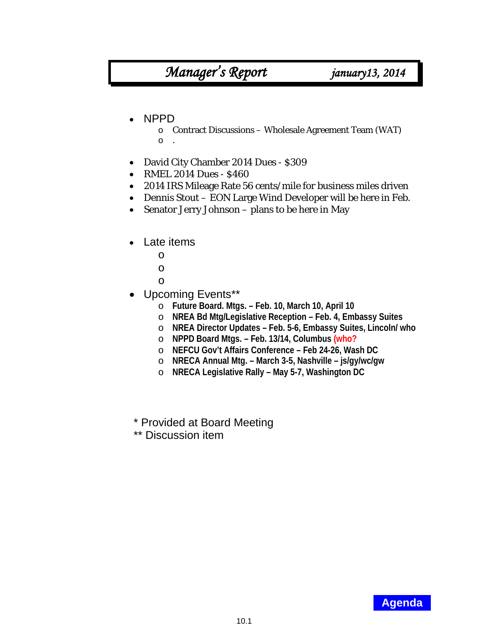# *Manager's Report january13, 2014*

# <span id="page-19-0"></span>• NPPD

- o Contract Discussions Wholesale Agreement Team (WAT) o .
- David City Chamber 2014 Dues \$309
- RMEL 2014 Dues \$460
- 2014 IRS Mileage Rate 56 cents/mile for business miles driven
- Dennis Stout EON Large Wind Developer will be here in Feb.
- Senator Jerry Johnson plans to be here in May
- Late items
	- o
	- o
	- o
- Upcoming Events\*\*
	- o **Future Board. Mtgs. – Feb. 10, March 10, April 10**
	- o **NREA Bd Mtg/Legislative Reception – Feb. 4, Embassy Suites**
	- o **NREA Director Updates – Feb. 5-6, Embassy Suites, Lincoln/ who**
	- o **NPPD Board Mtgs. – Feb. 13/14, Columbus (who?**
	- o **NEFCU Gov't Affairs Conference – Feb 24-26, Wash DC**
	- o **NRECA Annual Mtg. – March 3-5, Nashville – js/gy/wc/gw**
	- o **NRECA Legislative Rally – May 5-7, Washington DC**
- \* Provided at Board Meeting
- \*\* Discussion item

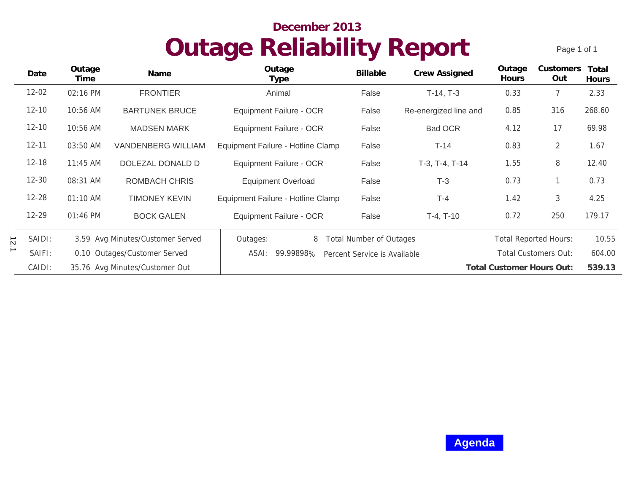# **Outage Reliability Report December 2013**

Page 1 of 1

<span id="page-20-0"></span>

|           | Date      | Outage<br>Time                   | Name                           | Outage<br>Type                                     | <b>Billable</b> | Crew Assigned         |  | Outage<br>Hours           | Customers<br>Out             | Total<br>Hours |
|-----------|-----------|----------------------------------|--------------------------------|----------------------------------------------------|-----------------|-----------------------|--|---------------------------|------------------------------|----------------|
|           | $12 - 02$ | 02:16 PM                         | <b>FRONTIER</b>                | Animal                                             | False           | $T-14, T-3$           |  | 0.33                      |                              | 2.33           |
|           | $12 - 10$ | 10:56 AM                         | <b>BARTUNEK BRUCE</b>          | Equipment Failure - OCR                            | False           | Re-energized line and |  | 0.85                      | 316                          | 268.60         |
|           | $12 - 10$ | 10:56 AM                         | <b>MADSEN MARK</b>             | <b>Equipment Failure - OCR</b>                     | False           | <b>Bad OCR</b>        |  | 4.12                      | 17                           | 69.98          |
|           | $12 - 11$ | 03:50 AM                         | <b>VANDENBERG WILLIAM</b>      | Equipment Failure - Hotline Clamp                  | False           | $T-14$                |  | 0.83                      | $\overline{2}$               | 1.67           |
|           | $12 - 18$ | 11:45 AM                         | DOLEZAL DONALD D               | Equipment Failure - OCR                            | False           | T-3, T-4, T-14        |  | 1.55                      | 8                            | 12.40          |
|           | $12 - 30$ | 08:31 AM                         | <b>ROMBACH CHRIS</b>           | <b>Equipment Overload</b>                          | False           | $T-3$                 |  | 0.73                      |                              | 0.73           |
|           | $12 - 28$ | 01:10 AM                         | <b>TIMONEY KEVIN</b>           | Equipment Failure - Hotline Clamp                  | False           | $T-4$                 |  | 1.42                      | 3                            | 4.25           |
|           | $12 - 29$ | 01:46 PM                         | <b>BOCK GALEN</b>              | Equipment Failure - OCR                            | False           | $T-4, T-10$           |  | 0.72                      | 250                          | 179.17         |
| $\vec{z}$ | SAIDI:    | 3.59 Avg Minutes/Customer Served |                                | 8<br><b>Total Number of Outages</b><br>Outages:    |                 |                       |  |                           | <b>Total Reported Hours:</b> | 10.55          |
|           | SAIFI:    | 0.10 Outages/Customer Served     |                                | 99.99898%<br>ASAI:<br>Percent Service is Available |                 |                       |  |                           | Total Customers Out:         | 604.00         |
|           | CAIDI:    |                                  | 35.76 Avg Minutes/Customer Out |                                                    |                 |                       |  | Total Customer Hours Out: |                              | 539.13         |